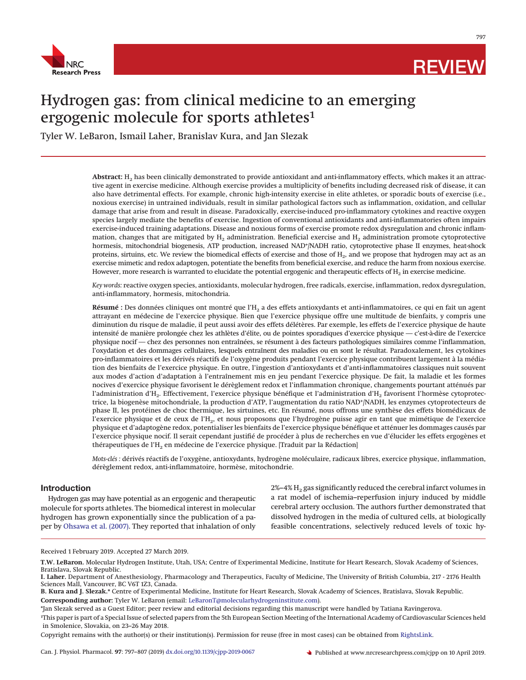

797

# Hydrogen gas: from clinical medicine to an emerging ergogenic molecule for sports athletes<sup>1</sup>

Tyler W. LeBaron, Ismail Laher, Branislav Kura, and Jan Slezak

Abstract: H<sub>2</sub> has been clinically demonstrated to provide antioxidant and anti-inflammatory effects, which makes it an attractive agent in exercise medicine. Although exercise provides a multiplicity of benefits including decreased risk of disease, it can also have detrimental effects. For example, chronic high-intensity exercise in elite athletes, or sporadic bouts of exercise (i.e., noxious exercise) in untrained individuals, result in similar pathological factors such as inflammation, oxidation, and cellular damage that arise from and result in disease. Paradoxically, exercise-induced pro-inflammatory cytokines and reactive oxygen species largely mediate the benefits of exercise. Ingestion of conventional antioxidants and anti-inflammatories often impairs exercise-induced training adaptations. Disease and noxious forms of exercise promote redox dysregulation and chronic inflammation, changes that are mitigated by  $H_2$  administration. Beneficial exercise and  $H_2$  administration promote cytoprotective hormesis, mitochondrial biogenesis, ATP production, increased NAD+/NADH ratio, cytoprotective phase II enzymes, heat-shock proteins, sirtuins, etc. We review the biomedical effects of exercise and those of H<sub>2</sub>, and we propose that hydrogen may act as an exercise mimetic and redox adaptogen, potentiate the benefits from beneficial exercise, and reduce the harm from noxious exercise. However, more research is warranted to elucidate the potential ergogenic and therapeutic effects of  $H_2$  in exercise medicine.

*Key words:* reactive oxygen species, antioxidants, molecular hydrogen, free radicals, exercise, inflammation, redox dysregulation, anti-inflammatory, hormesis, mitochondria.

Résumé : Des données cliniques ont montré que l'H<sub>2</sub> a des effets antioxydants et anti-inflammatoires, ce qui en fait un agent attrayant en médecine de l'exercice physique. Bien que l'exercice physique offre une multitude de bienfaits, y compris une diminution du risque de maladie, il peut aussi avoir des effets délétères. Par exemple, les effets de l'exercice physique de haute intensité de manière prolongée chez les athlètes d'élite, ou de pointes sporadiques d'exercice physique — c'est-à-dire de l'exercice physique nocif — chez des personnes non entraînées, se résument à des facteurs pathologiques similaires comme l'inflammation, l'oxydation et des dommages cellulaires, lesquels entraînent des maladies ou en sont le résultat. Paradoxalement, les cytokines pro-inflammatoires et les dérivés réactifs de l'oxygène produits pendant l'exercice physique contribuent largement à la médiation des bienfaits de l'exercice physique. En outre, l'ingestion d'antioxydants et d'anti-inflammatoires classiques nuit souvent aux modes d'action d'adaptation à l'entraînement mis en jeu pendant l'exercice physique. De fait, la maladie et les formes nocives d'exercice physique favorisent le dérèglement redox et l'inflammation chronique, changements pourtant atténués par l'administration d'H<sub>2</sub>. Effectivement, l'exercice physique bénéfique et l'administration d'H<sub>2</sub> favorisent l'hormèse cytoprotectrice, la biogenèse mitochondriale, la production d'ATP, l'augmentation du ratio NAD+/NADH, les enzymes cytoprotecteurs de phase II, les protéines de choc thermique, les sirtuines, etc. En résumé, nous offrons une synthèse des effets biomédicaux de l'exercice physique et de ceux de l'H<sub>2</sub>, et nous proposons que l'hydrogène puisse agir en tant que mimétique de l'exercice physique et d'adaptogène redox, potentialiser les bienfaits de l'exercice physique bénéfique et atténuer les dommages causés par l'exercice physique nocif. Il serait cependant justifié de procéder à plus de recherches en vue d'élucider les effets ergogènes et thérapeutiques de l'H<sub>2</sub> en médecine de l'exercice physique. [Traduit par la Rédaction]

*Mots-clés :* dérivés réactifs de l'oxygène, antioxydants, hydrogène moléculaire, radicaux libres, exercice physique, inflammation, dérèglement redox, anti-inflammatoire, hormèse, mitochondrie.

## **Introduction**

Hydrogen gas may have potential as an ergogenic and therapeutic molecule for sports athletes. The biomedical interest in molecular hydrogen has grown exponentially since the publication of a paper by [Ohsawa et al. \(2007\).](#page-9-0) They reported that inhalation of only

 $2\% - 4\%$  H<sub>2</sub> gas significantly reduced the cerebral infarct volumes in a rat model of ischemia–reperfusion injury induced by middle cerebral artery occlusion. The authors further demonstrated that dissolved hydrogen in the media of cultured cells, at biologically feasible concentrations, selectively reduced levels of toxic hy-

Received 1 February 2019. Accepted 27 March 2019.

Copyright remains with the author(s) or their institution(s). Permission for reuse (free in most cases) can be obtained from [RightsLink.](http://www.nrcresearchpress.com/page/authors/services/reprints)

**T.W. LeBaron.** Molecular Hydrogen Institute, Utah, USA; Centre of Experimental Medicine, Institute for Heart Research, Slovak Academy of Sciences,

Bratislava, Slovak Republic. **I. Laher.** Department of Anesthesiology, Pharmacology and Therapeutics, Faculty of Medicine, The University of British Columbia, 217 - 2176 Health Sciences Mall, Vancouver, BC V6T 1Z3, Canada.

**B. Kura and J. Slezak.\*** Centre of Experimental Medicine, Institute for Heart Research, Slovak Academy of Sciences, Bratislava, Slovak Republic. **Corresponding author:** Tyler W. LeBaron (email: [LeBaronT@molecularhydrogeninstitute.com\)](mailto:LeBaronT@molecularhydrogeninstitute.com).

<sup>\*</sup>Jan Slezak served as a Guest Editor; peer review and editorial decisions regarding this manuscript were handled by Tatiana Ravingerova.

<sup>1</sup> This paper is part of a Special Issue of selected papers from the 5th European Section Meeting of the International Academy of Cardiovascular Sciences held in Smolenice, Slovakia, on 23–26 May 2018.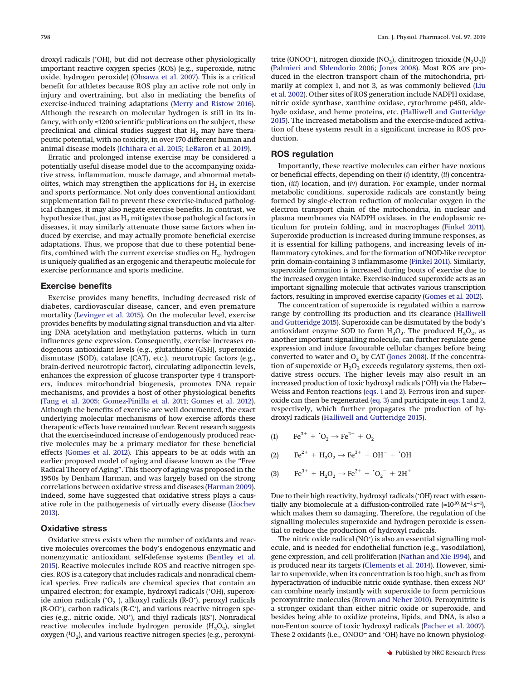droxyl radicals (• OH), but did not decrease other physiologically important reactive oxygen species (ROS) (e.g., superoxide, nitric oxide, hydrogen peroxide) [\(Ohsawa et al. 2007\)](#page-9-0). This is a critical benefit for athletes because ROS play an active role not only in injury and overtraining, but also in mediating the benefits of exercise-induced training adaptations [\(Merry and Ristow 2016\)](#page-8-0). Although the research on molecular hydrogen is still in its infancy, with only ≈1200 scientific publications on the subject, these preclinical and clinical studies suggest that  $H_2$  may have therapeutic potential, with no toxicity, in over 170 different human and animal disease models [\(Ichihara et al. 2015;](#page-8-1) [LeBaron et al. 2019\)](#page-8-2).

Erratic and prolonged intense exercise may be considered a potentially useful disease model due to the accompanying oxidative stress, inflammation, muscle damage, and abnormal metabolites, which may strengthen the applications for  $H<sub>2</sub>$  in exercise and sports performance. Not only does conventional antioxidant supplementation fail to prevent these exercise-induced pathological changes, it may also negate exercise benefits. In contrast, we hypothesize that, just as  $H_2$  mitigates those pathological factors in diseases, it may similarly attenuate those same factors when induced by exercise, and may actually promote beneficial exercise adaptations. Thus, we propose that due to these potential benefits, combined with the current exercise studies on  $H_2$ , hydrogen is uniquely qualified as an ergogenic and therapeutic molecule for exercise performance and sports medicine.

#### **Exercise benefits**

Exercise provides many benefits, including decreased risk of diabetes, cardiovascular disease, cancer, and even premature mortality [\(Levinger et al. 2015\)](#page-8-3). On the molecular level, exercise provides benefits by modulating signal transduction and via altering DNA acetylation and methylation patterns, which in turn influences gene expression. Consequently, exercise increases endogenous antioxidant levels (e.g., glutathione (GSH), superoxide dismutase (SOD), catalase (CAT), etc.), neurotropic factors (e.g., brain-derived neurotropic factor), circulating adiponectin levels, enhances the expression of glucose transporter type 4 transporters, induces mitochondrial biogenesis, promotes DNA repair mechanisms, and provides a host of other physiological benefits [\(Tang et al. 2005;](#page-9-1) [Gomez-Pinilla et al. 2011;](#page-8-4) [Gomes et al. 2012\)](#page-7-0). Although the benefits of exercise are well documented, the exact underlying molecular mechanisms of how exercise affords these therapeutic effects have remained unclear. Recent research suggests that the exercise-induced increase of endogenously produced reactive molecules may be a primary mediator for these beneficial effects [\(Gomes et al. 2012\)](#page-7-0). This appears to be at odds with an earlier proposed model of aging and disease known as the "Free Radical Theory of Aging". This theory of aging was proposed in the 1950s by Denham Harman, and was largely based on the strong correlations between oxidative stress and diseases [\(Harman 2009\)](#page-8-5). Indeed, some have suggested that oxidative stress plays a causative role in the pathogenesis of virtually every disease [\(Liochev](#page-8-6) [2013\)](#page-8-6).

## **Oxidative stress**

Oxidative stress exists when the number of oxidants and reactive molecules overcomes the body's endogenous enzymatic and nonenzymatic antioxidant self-defense systems [\(Bentley et al.](#page-7-1) [2015\)](#page-7-1). Reactive molecules include ROS and reactive nitrogen species. ROS is a category that includes radicals and nonradical chemical species. Free radicals are chemical species that contain an unpaired electron; for example, hydroxyl radicals (• OH), superoxide anion radicals ( $O_2^-$ ), alkoxyl radicals (R-O $^{\circ}$ ), peroxyl radicals (R-OO<sup>\*</sup>), carbon radicals (R-C<sup>\*</sup>), and various reactive nitrogen species (e.g., nitric oxide, NO• ), and thiyl radicals (RS• ). Nonradical reactive molecules include hydrogen peroxide  $(H_2O_2)$ , singlet oxygen  $({}^{1}O_{2})$ , and various reactive nitrogen species (e.g., peroxyni-

trite (ONOO<sup>-</sup>), nitrogen dioxide (NO<sub>2</sub>), dinitrogen trioxide (N<sub>2</sub>O<sub>3</sub>)) [\(Palmieri and Sblendorio 2006;](#page-9-2) [Jones 2008\)](#page-8-7). Most ROS are produced in the electron transport chain of the mitochondria, primarily at complex 1, and not 3, as was commonly believed [\(Liu](#page-8-8) [et al. 2002\)](#page-8-8). Other sites of ROS generation include NADPH oxidase, nitric oxide synthase, xanthine oxidase, cytochrome p450, aldehyde oxidase, and heme proteins, etc. [\(Halliwell and Gutteridge](#page-8-9) [2015\)](#page-8-9). The increased metabolism and the exercise-induced activation of these systems result in a significant increase in ROS production.

## **ROS regulation**

Importantly, these reactive molecules can either have noxious or beneficial effects, depending on their (*i*) identity, (*ii*) concentration, (*iii*) location, and (*iv*) duration. For example, under normal metabolic conditions, superoxide radicals are constantly being formed by single-electron reduction of molecular oxygen in the electron transport chain of the mitochondria, in nuclear and plasma membranes via NADPH oxidases, in the endoplasmic reticulum for protein folding, and in macrophages [\(Finkel 2011\)](#page-7-2). Superoxide production is increased during immune responses, as it is essential for killing pathogens, and increasing levels of inflammatory cytokines, and for the formation of NOD-like receptor prin domain-containing 3 inflammasome [\(Finkel 2011\)](#page-7-2). Similarly, superoxide formation is increased during bouts of exercise due to the increased oxygen intake. Exercise-induced superoxide acts as an important signalling molecule that activates various transcription factors, resulting in improved exercise capacity [\(Gomes et al. 2012\)](#page-7-0).

The concentration of superoxide is regulated within a narrow range by controlling its production and its clearance [\(Halliwell](#page-8-9) [and Gutteridge 2015\)](#page-8-9). Superoxide can be dismutated by the body's antioxidant enzyme SOD to form  $H_2O_2$ . The produced  $H_2O_2$ , as another important signalling molecule, can further regulate gene expression and induce favourable cellular changes before being converted to water and  $\mathrm{O}_2$  by CAT [\(Jones 2008\)](#page-8-7). If the concentration of superoxide or  $H_2O_2$  exceeds regulatory systems, then oxidative stress occurs. The higher levels may also result in an increased production of toxic hydroxyl radicals (• OH) via the Haber– Weiss and Fenton reactions [\(eqs. 1](#page-1-0) and [2\)](#page-1-1). Ferrous iron and superoxide can then be regenerated [\(eq. 3\)](#page-1-2) and participate in [eqs. 1](#page-1-0) and [2,](#page-1-1) respectively, which further propagates the production of hydroxyl radicals [\(Halliwell and Gutteridge 2015\)](#page-8-9).

<span id="page-1-0"></span>(1)  $\text{Fe}^{3+} + \text{O}_2 \rightarrow \text{Fe}^{2+} + \text{O}_2$ 

<span id="page-1-1"></span>(2) 
$$
\text{Fe}^{2+} + \text{H}_2\text{O}_2 \rightarrow \text{Fe}^{3+} + \text{OH}^- + \text{'}\text{OH}
$$

<span id="page-1-2"></span>(3) 
$$
Fe^{3+} + H_2O_2 \rightarrow Fe^{2+} + O_2^- + 2H^+
$$

Due to their high reactivity, hydroxyl radicals (• OH) react with essentially any biomolecule at a diffusion-controlled rate ( $\approx 10^{10} \text{·M}^{-1} \cdot \text{s}^{-1}$ ), which makes them so damaging. Therefore, the regulation of the signalling molecules superoxide and hydrogen peroxide is essential to reduce the production of hydroxyl radicals.

The nitric oxide radical (NO• ) is also an essential signalling molecule, and is needed for endothelial function (e.g., vasodilation), gene expression, and cell proliferation [\(Nathan and Xie 1994\)](#page-8-10), and is produced near its targets [\(Clements et al. 2014\)](#page-7-3). However, similar to superoxide, when its concentration is too high, such as from hyperactivation of inducible nitric oxide synthase, then excess NO<sup>•</sup> can combine nearly instantly with superoxide to form pernicious peroxynitrite molecules [\(Brown and Neher 2010\)](#page-7-4). Peroxynitrite is a stronger oxidant than either nitric oxide or superoxide, and besides being able to oxidize proteins, lipids, and DNA, is also a non-Fenton source of toxic hydroxyl radicals [\(Pacher et al. 2007\)](#page-9-3). These 2 oxidants (i.e., ONOO− and • OH) have no known physiolog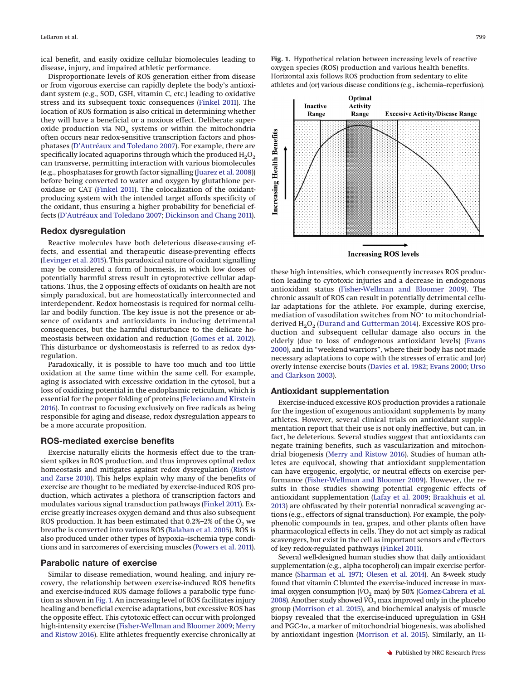ical benefit, and easily oxidize cellular biomolecules leading to disease, injury, and impaired athletic performance.

Disproportionate levels of ROS generation either from disease or from vigorous exercise can rapidly deplete the body's antioxidant system (e.g., SOD, GSH, vitamin C, etc.) leading to oxidative stress and its subsequent toxic consequences [\(Finkel 2011\)](#page-7-2). The location of ROS formation is also critical in determining whether they will have a beneficial or a noxious effect. Deliberate superoxide production via  $NO<sub>x</sub>$  systems or within the mitochondria often occurs near redox-sensitive transcription factors and phosphatases [\(D'Autréaux and Toledano 2007\)](#page-7-5). For example, there are specifically located aquaporins through which the produced  $H_2O_2$ can transverse, permitting interaction with various biomolecules (e.g., phosphatases for growth factor signalling [\(Juarez et al. 2008\)](#page-8-11)) before being converted to water and oxygen by glutathione peroxidase or CAT [\(Finkel 2011\)](#page-7-2). The colocalization of the oxidantproducing system with the intended target affords specificity of the oxidant, thus ensuring a higher probability for beneficial effects [\(D'Autréaux and Toledano 2007;](#page-7-5) [Dickinson and Chang 2011\)](#page-7-6).

## **Redox dysregulation**

Reactive molecules have both deleterious disease-causing effects, and essential and therapeutic disease-preventing effects [\(Levinger et al. 2015\)](#page-8-3). This paradoxical nature of oxidant signalling may be considered a form of hormesis, in which low doses of potentially harmful stress result in cytoprotective cellular adaptations. Thus, the 2 opposing effects of oxidants on health are not simply paradoxical, but are homeostatically interconnected and interdependent. Redox homeostasis is required for normal cellular and bodily function. The key issue is not the presence or absence of oxidants and antioxidants in inducing detrimental consequences, but the harmful disturbance to the delicate homeostasis between oxidation and reduction [\(Gomes et al. 2012\)](#page-7-0). This disturbance or dyshomeostasis is referred to as redox dysregulation.

Paradoxically, it is possible to have too much and too little oxidation at the same time within the same cell. For example, aging is associated with excessive oxidation in the cytosol, but a loss of oxidizing potential in the endoplasmic reticulum, which is essential for the proper folding of proteins [\(Feleciano and Kirstein](#page-7-7) [2016\)](#page-7-7). In contrast to focusing exclusively on free radicals as being responsible for aging and disease, redox dysregulation appears to be a more accurate proposition.

#### **ROS-mediated exercise benefits**

Exercise naturally elicits the hormesis effect due to the transient spikes in ROS production, and thus improves optimal redox homeostasis and mitigates against redox dysregulation [\(Ristow](#page-9-4) [and Zarse 2010\)](#page-9-4). This helps explain why many of the benefits of exercise are thought to be mediated by exercise-induced ROS production, which activates a plethora of transcription factors and modulates various signal transduction pathways [\(Finkel 2011\)](#page-7-2). Exercise greatly increases oxygen demand and thus also subsequent ROS production. It has been estimated that  $0.2\%$ – $2\%$  of the  $O<sub>2</sub>$  we breathe is converted into various ROS [\(Balaban et al. 2005\)](#page-7-8). ROS is also produced under other types of hypoxia–ischemia type conditions and in sarcomeres of exercising muscles [\(Powers et al. 2011\)](#page-9-5).

#### **Parabolic nature of exercise**

Similar to disease remediation, wound healing, and injury recovery, the relationship between exercise-induced ROS benefits and exercise-induced ROS damage follows a parabolic type function as shown in [Fig. 1.](#page-2-0) An increasing level of ROS facilitates injury healing and beneficial exercise adaptations, but excessive ROS has the opposite effect. This cytotoxic effect can occur with prolonged high-intensity exercise [\(Fisher-Wellman and Bloomer 2009;](#page-7-9) [Merry](#page-8-0) [and Ristow 2016\)](#page-8-0). Elite athletes frequently exercise chronically at

<span id="page-2-0"></span>**Fig. 1.** Hypothetical relation between increasing levels of reactive oxygen species (ROS) production and various health benefits. Horizontal axis follows ROS production from sedentary to elite athletes and (or) various disease conditions (e.g., ischemia–reperfusion).



**Increasing ROS levels** 

these high intensities, which consequently increases ROS production leading to cytotoxic injuries and a decrease in endogenous antioxidant status [\(Fisher-Wellman and Bloomer 2009\)](#page-7-9). The chronic assault of ROS can result in potentially detrimental cellular adaptations for the athlete. For example, during exercise, mediation of vasodilation switches from NO• to mitochondrialderived  $H_2O_2$  [\(Durand and Gutterman 2014\)](#page-7-10). Excessive ROS production and subsequent cellular damage also occurs in the elderly (due to loss of endogenous antioxidant levels) [\(Evans](#page-7-11) [2000\)](#page-7-11), and in "weekend warriors", where their body has not made necessary adaptations to cope with the stresses of erratic and (or) overly intense exercise bouts [\(Davies et al. 1982;](#page-7-12) [Evans 2000;](#page-7-11) [Urso](#page-9-6) [and Clarkson 2003\)](#page-9-6).

#### **Antioxidant supplementation**

Exercise-induced excessive ROS production provides a rationale for the ingestion of exogenous antioxidant supplements by many athletes. However, several clinical trials on antioxidant supplementation report that their use is not only ineffective, but can, in fact, be deleterious. Several studies suggest that antioxidants can negate training benefits, such as vascularization and mitochondrial biogenesis [\(Merry and Ristow 2016\)](#page-8-0). Studies of human athletes are equivocal, showing that antioxidant supplementation can have ergogenic, ergolytic, or neutral effects on exercise performance [\(Fisher-Wellman and Bloomer 2009\)](#page-7-9). However, the results in those studies showing potential ergogenic effects of antioxidant supplementation [\(Lafay et al. 2009;](#page-8-12) [Braakhuis et al.](#page-7-13) [2013\)](#page-7-13) are obfuscated by their potential nonradical scavenging actions (e.g., effectors of signal transduction). For example, the polyphenolic compounds in tea, grapes, and other plants often have pharmacological effects in cells. They do not act simply as radical scavengers, but exist in the cell as important sensors and effectors of key redox-regulated pathways [\(Finkel 2011\)](#page-7-2).

Several well-designed human studies show that daily antioxidant supplementation (e.g., alpha tocopherol) can impair exercise performance [\(Sharman et al. 1971;](#page-9-7) [Olesen et al. 2014\)](#page-9-8). An 8-week study found that vitamin C blunted the exercise-induced increase in maximal oxygen consumption  $\rm (VO<sub>2</sub> \, max)$  by 50% [\(Gomez-Cabrera et al.](#page-7-14) [2008\)](#page-7-14). Another study showed  $VO<sub>2</sub>$  max improved only in the placebo group [\(Morrison et al. 2015\)](#page-8-13), and biochemical analysis of muscle biopsy revealed that the exercise-induced upregulation in GSH and PGC-1 $\alpha$ , a marker of mitochondrial biogenesis, was abolished by antioxidant ingestion [\(Morrison et al. 2015\)](#page-8-13). Similarly, an 11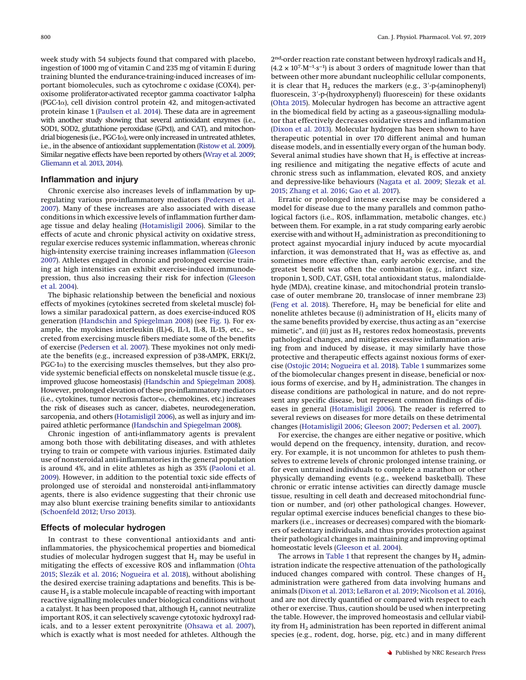week study with 54 subjects found that compared with placebo, ingestion of 1000 mg of vitamin C and 235 mg of vitamin E during training blunted the endurance-training-induced increases of important biomolecules, such as cytochrome c oxidase (COX4), peroxisome proliferator-activated receptor gamma coactivator 1-alpha (PGC-1 $\alpha$ ), cell division control protein 42, and mitogen-activated protein kinase 1 [\(Paulsen et al. 2014\)](#page-9-9). These data are in agreement with another study showing that several antioxidant enzymes (i.e., SOD1, SOD2, glutathione peroxidase (GPx1), and CAT), and mitochondrial biogenesis (i.e.,  $PGC-1\alpha$ ), were only increased in untreated athletes, i.e., in the absence of antioxidant supplementation [\(Ristow et al. 2009\)](#page-9-10). Similar negative effects have been reported by others [\(Wray et al. 2009;](#page-9-11) [Gliemann et al. 2013,](#page-7-15) [2014\)](#page-7-16).

## **Inflammation and injury**

Chronic exercise also increases levels of inflammation by upregulating various pro-inflammatory mediators [\(Pedersen et al.](#page-9-12) [2007\)](#page-9-12). Many of these increases are also associated with disease conditions in which excessive levels of inflammation further damage tissue and delay healing [\(Hotamisligil 2006\)](#page-8-14). Similar to the effects of acute and chronic physical activity on oxidative stress, regular exercise reduces systemic inflammation, whereas chronic high-intensity exercise training increases inflammation [\(Gleeson](#page-7-17) [2007\)](#page-7-17). Athletes engaged in chronic and prolonged exercise training at high intensities can exhibit exercise-induced immunodepression, thus also increasing their risk for infection [\(Gleeson](#page-7-18) [et al. 2004\)](#page-7-18).

The biphasic relationship between the beneficial and noxious effects of myokines (cytokines secreted from skeletal muscle) follows a similar paradoxical pattern, as does exercise-induced ROS generation [\(Handschin and Spiegelman 2008\)](#page-8-15) (see [Fig. 1\)](#page-2-0). For example, the myokines interleukin (IL)-6, IL-1, IL-8, IL-15, etc., secreted from exercising muscle fibers mediate some of the benefits of exercise [\(Pedersen et al. 2007\)](#page-9-12). These myokines not only mediate the benefits (e.g., increased expression of p38-AMPK, ERK1/2,  $PGC-1\alpha$ ) to the exercising muscles themselves, but they also provide systemic beneficial effects on nonskeletal muscle tissue (e.g., improved glucose homeostasis) [\(Handschin and Spiegelman 2008\)](#page-8-15). However, prolonged elevation of these pro-inflammatory mediators (i.e., cytokines, tumor necrosis factor  $\alpha$ , chemokines, etc.) increases the risk of diseases such as cancer, diabetes, neurodegeneration, sarcopenia, and others [\(Hotamisligil 2006\)](#page-8-14), as well as injury and impaired athletic performance [\(Handschin and Spiegelman 2008\)](#page-8-15).

Chronic ingestion of anti-inflammatory agents is prevalent among both those with debilitating diseases, and with athletes trying to train or compete with various injuries. Estimated daily use of nonsteroidal anti-inflammatories in the general population is around 4%, and in elite athletes as high as 35% [\(Paoloni et al.](#page-9-13) [2009\)](#page-9-13). However, in addition to the potential toxic side effects of prolonged use of steroidal and nonsteroidal anti-inflammatory agents, there is also evidence suggesting that their chronic use may also blunt exercise training benefits similar to antioxidants [\(Schoenfeld 2012;](#page-9-14) [Urso 2013\)](#page-9-15).

## **Effects of molecular hydrogen**

In contrast to these conventional antioxidants and antiinflammatories, the physicochemical properties and biomedical studies of molecular hydrogen suggest that  $H_2$  may be useful in mitigating the effects of excessive ROS and inflammation [\(Ohta](#page-9-16) [2015;](#page-9-16) [Slezák et al. 2016;](#page-9-17) [Nogueira et al. 2018\)](#page-8-16), without abolishing the desired exercise training adaptations and benefits. This is because  $H<sub>2</sub>$  is a stable molecule incapable of reacting with important reactive signalling molecules under biological conditions without a catalyst. It has been proposed that, although  $H<sub>2</sub>$  cannot neutralize important ROS, it can selectively scavenge cytotoxic hydroxyl radicals, and to a lesser extent peroxynitrite [\(Ohsawa et al. 2007\)](#page-9-0), which is exactly what is most needed for athletes. Although the

 $2<sup>nd</sup>$  order reaction rate constant between hydroxyl radicals and H<sub>2</sub>  $(4.2 \times 10^{7} \text{·M}^{-1} \text{·s}^{-1})$  is about 3 orders of magnitude lower than that between other more abundant nucleophilic cellular components, it is clear that  $H_2$  reduces the markers (e.g., 3'-p-(aminophenyl) fluorescein, 3'-p-(hydroxyphenyl) fluorescein) for these oxidants [\(Ohta 2015\)](#page-9-16). Molecular hydrogen has become an attractive agent in the biomedical field by acting as a gaseous-signalling modulator that effectively decreases oxidative stress and inflammation [\(Dixon et al. 2013\)](#page-7-19). Molecular hydrogen has been shown to have therapeutic potential in over 170 different animal and human disease models, and in essentially every organ of the human body. Several animal studies have shown that  $H_2$  is effective at increasing resilience and mitigating the negative effects of acute and chronic stress such as inflammation, elevated ROS, and anxiety and depressive-like behaviours [\(Nagata et al. 2009;](#page-8-17) [Slezak et al.](#page-9-18) [2015;](#page-9-18) [Zhang et al. 2016;](#page-10-0) [Gao et al. 2017\)](#page-7-20).

Erratic or prolonged intense exercise may be considered a model for disease due to the many parallels and common pathological factors (i.e., ROS, inflammation, metabolic changes, etc.) between them. For example, in a rat study comparing early aerobic exercise with and without  $H_2$  administration as preconditioning to protect against myocardial injury induced by acute myocardial infarction, it was demonstrated that  $H_2$  was as effective as, and sometimes more effective than, early aerobic exercise, and the greatest benefit was often the combination (e.g., infarct size, troponin 1, SOD, CAT, GSH, total antioxidant status, malondialdehyde (MDA), creatine kinase, and mitochondrial protein translocase of outer membrane 20, translocase of inner membrane 23) [\(Feng et al. 2018\)](#page-7-21). Therefore,  $H_2$  may be beneficial for elite and nonelite athletes because ( $i$ ) administration of  $H<sub>2</sub>$  elicits many of the same benefits provided by exercise, thus acting as an "exercise mimetic", and  $(ii)$  just as  $H_2$  restores redox homeostasis, prevents pathological changes, and mitigates excessive inflammation arising from and induced by disease, it may similarly have those protective and therapeutic effects against noxious forms of exercise [\(Ostojic 2014;](#page-9-19) [Nogueira et al. 2018\)](#page-8-16). [Table 1](#page-4-0) summarizes some of the biomolecular changes present in disease, beneficial or noxious forms of exercise, and by H<sub>2</sub> administration. The changes in disease conditions are pathological in nature, and do not represent any specific disease, but represent common findings of diseases in general [\(Hotamisligil 2006\)](#page-8-14). The reader is referred to several reviews on diseases for more details on these detrimental changes [\(Hotamisligil 2006;](#page-8-14) [Gleeson 2007;](#page-7-17) [Pedersen et al. 2007\)](#page-9-12).

For exercise, the changes are either negative or positive, which would depend on the frequency, intensity, duration, and recovery. For example, it is not uncommon for athletes to push themselves to extreme levels of chronic prolonged intense training, or for even untrained individuals to complete a marathon or other physically demanding events (e.g., weekend basketball). These chronic or erratic intense activities can directly damage muscle tissue, resulting in cell death and decreased mitochondrial function or number, and (or) other pathological changes. However, regular optimal exercise induces beneficial changes to these biomarkers (i.e., increases or decreases) compared with the biomarkers of sedentary individuals, and thus provides protection against their pathological changes in maintaining and improving optimal homeostatic levels [\(Gleeson et al. 2004\)](#page-7-18).

The arrows in [Table 1](#page-4-0) that represent the changes by  $H<sub>2</sub>$  administration indicate the respective attenuation of the pathologically induced changes compared with control. These changes of  $H<sub>2</sub>$ administration were gathered from data involving humans and animals [\(Dixon et al. 2013;](#page-7-19) [LeBaron et al. 2019;](#page-8-2) [Nicolson et al. 2016\)](#page-8-18), and are not directly quantified or compared with respect to each other or exercise. Thus, caution should be used when interpreting the table. However, the improved homeostasis and cellular viability from  $H<sub>2</sub>$  administration has been reported in different animal species (e.g., rodent, dog, horse, pig, etc.) and in many different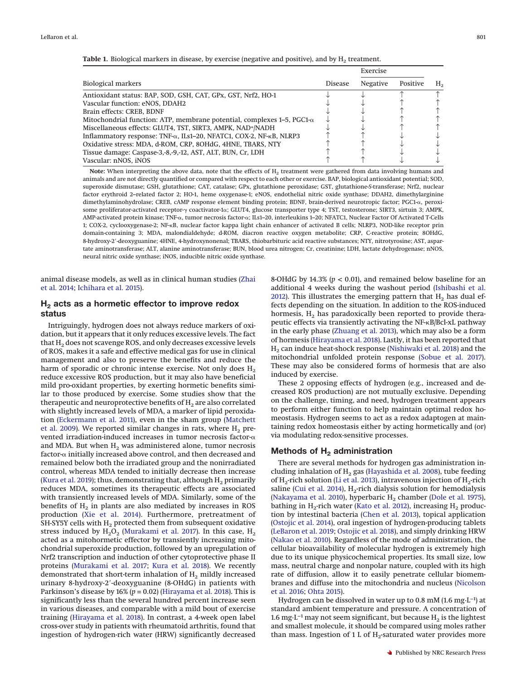|                                                                                      |                | Exercise        |          |    |
|--------------------------------------------------------------------------------------|----------------|-----------------|----------|----|
| <b>Biological markers</b>                                                            | <b>Disease</b> | <b>Negative</b> | Positive | Н. |
| Antioxidant status: BAP, SOD, GSH, CAT, GPx, GST, Nrf2, HO-1                         |                |                 |          |    |
| Vascular function: eNOS, DDAH2                                                       |                |                 |          |    |
| Brain effects: CREB, BDNF                                                            |                |                 |          |    |
| Mitochondrial function: ATP, membrane potential, complexes $1-5$ , PGC1- $\alpha$    |                |                 |          |    |
| Miscellaneous effects: GLUT4, TST, SIRT3, AMPK, NAD+/NADH                            |                |                 |          |    |
| Inflammatory response: TNF- $\alpha$ , ILs1–20, NFATC1, COX-2, NF- $\kappa$ B, NLRP3 |                |                 |          |    |
| Oxidative stress: MDA, d-ROM, CRP, 8OHdG, 4HNE, TBARS, NTY                           |                |                 |          |    |
| Tissue damage: Caspase-3,-8,-9,-12, AST, ALT, BUN, Cr, LDH                           |                |                 |          |    |
| Vascular: nNOS. iNOS                                                                 |                |                 |          |    |

<span id="page-4-0"></span>**Table 1.** Biological markers in disease, by exercise (negative and positive), and by H<sub>2</sub> treatment.

Note: When interpreting the above data, note that the effects of H<sub>2</sub> treatment were gathered from data involving humans and animals and are not directly quantified or compared with respect to each other or exercise. BAP, biological antioxidant potential; SOD, superoxide dismutase; GSH, glutathione; CAT, catalase; GPx, glutathione peroxidase; GST, glutathione-*S*-transferase; Nrf2, nuclear factor erythroid 2–related factor 2; HO-1, heme oxygenase-1; eNOS, endothelial nitric oxide synthase; DDAH2, dimethylarginine dimethylaminohydrolase; CREB, cAMP response element binding protein; BDNF, brain-derived neurotropic factor; PGC1- $\alpha$ , peroxisome proliferator-activated receptor- $\gamma$  coactivator-1 $\alpha$ ; GLUT4, glucose transporter type 4; TST, testosterone; SIRT3, sirtuin 3; AMPK, AMP-activated protein kinase; TNF-a, tumor necrosis factor-a; ILs1-20, interleukins 1-20; NFATC1, Nuclear Factor Of Activated T-Cells 1; COX-2, cyclooxygenase-2; NF-B, nuclear factor kappa light chain enhancer of activated B cells; NLRP3, NOD-like receptor prin domain-containing 3; MDA, malondialdehyde; d-ROM, diacron reactive oxygen metabolite; CRP, C-reactive protein; 8OHdG, 8-hydroxy-2'-deoxyguanine; 4HNE, 4-hydroxynonenal; TBARS, thiobarbituric acid reactive substances; NTY, nitrotyrosine; AST, aspartate aminotransferase; ALT, alanine aminotransferase; BUN, blood urea nitrogen; Cr, creatinine; LDH, lactate dehydrogenase; nNOS, neural nitric oxide synthase; iNOS, inducible nitric oxide synthase.

animal disease models, as well as in clinical human studies [\(Zhai](#page-10-1) [et al. 2014;](#page-10-1) [Ichihara et al. 2015\)](#page-8-1).

# **H2 acts as a hormetic effector to improve redox status**

Intriguingly, hydrogen does not always reduce markers of oxidation, but it appears that it only reduces excessive levels. The fact that  $H<sub>2</sub>$  does not scavenge ROS, and only decreases excessive levels of ROS, makes it a safe and effective medical gas for use in clinical management and also to preserve the benefits and reduce the harm of sporadic or chronic intense exercise. Not only does  $H_2$ reduce excessive ROS production, but it may also have beneficial mild pro-oxidant properties, by exerting hormetic benefits similar to those produced by exercise. Some studies show that the therapeutic and neuroprotective benefits of  $H<sub>2</sub>$  are also correlated with slightly increased levels of MDA, a marker of lipid peroxidation [\(Eckermann et al. 2011\)](#page-7-22), even in the sham group [\(Matchett](#page-8-19) [et al. 2009\)](#page-8-19). We reported similar changes in rats, where  $H_2$  prevented irradiation-induced increases in tumor necrosis factor- $\alpha$ and MDA. But when  $H_2$  was administered alone, tumor necrosis factor- $\alpha$  initially increased above control, and then decreased and remained below both the irradiated group and the nonirradiated control, whereas MDA tended to initially decrease then increase [\(Kura et al. 2019\)](#page-8-20); thus, demonstrating that, although  $H_2$  primarily reduces MDA, sometimes its therapeutic effects are associated with transiently increased levels of MDA. Similarly, some of the benefits of  $H_2$  in plants are also mediated by increases in ROS production [\(Xie et al. 2014\)](#page-9-20). Furthermore, pretreatment of SH-SY5Y cells with  $H_2$  protected them from subsequent oxidative stress induced by  $H_2O_2$  [\(Murakami et al. 2017\)](#page-8-21). In this case,  $H_2$ acted as a mitohormetic effector by transiently increasing mitochondrial superoxide production, followed by an upregulation of Nrf2 transcription and induction of other cytoprotective phase II proteins [\(Murakami et al. 2017;](#page-8-21) [Kura et al. 2018\)](#page-8-22). We recently demonstrated that short-term inhalation of  $H_2$  mildly increased urinary 8-hydroxy-2'-deoxyguanine (8-OHdG) in patients with Parkinson's disease by  $16\%$  ( $p = 0.02$ ) [\(Hirayama et al. 2018\)](#page-8-23). This is significantly less than the several hundred percent increase seen in various diseases, and comparable with a mild bout of exercise training [\(Hirayama et al. 2018\)](#page-8-23). In contrast, a 4-week open label cross-over study in patients with rheumatoid arthritis, found that ingestion of hydrogen-rich water (HRW) significantly decreased

8-OHdG by 14.3% ( $p < 0.01$ ), and remained below baseline for an additional 4 weeks during the washout period [\(Ishibashi et al.](#page-8-24) [2012\)](#page-8-24). This illustrates the emerging pattern that  $H_2$  has dual effects depending on the situation. In addition to the ROS-induced hormesis,  $H_2$  has paradoxically been reported to provide therapeutic effects via transiently activating the NF-KB/Bcl-xL pathway in the early phase [\(Zhuang et al. 2013\)](#page-10-2), which may also be a form of hormesis [\(Hirayama et al. 2018\)](#page-8-23). Lastly, it has been reported that H2 can induce heat-shock response [\(Nishiwaki et al. 2018\)](#page-8-25) and the mitochondrial unfolded protein response [\(Sobue et al. 2017\)](#page-9-21). These may also be considered forms of hormesis that are also induced by exercise.

These 2 opposing effects of hydrogen (e.g., increased and decreased ROS production) are not mutually exclusive. Depending on the challenge, timing, and need, hydrogen treatment appears to perform either function to help maintain optimal redox homeostasis. Hydrogen seems to act as a redox adaptogen at maintaining redox homeostasis either by acting hormetically and (or) via modulating redox-sensitive processes.

## **Methods of H<sub>2</sub> administration**

There are several methods for hydrogen gas administration including inhalation of  $H_2$  gas [\(Hayashida et al. 2008\)](#page-8-26), tube feeding of  $H_2$ -rich solution [\(Li et al. 2013\)](#page-8-27), intravenous injection of  $H_2$ -rich saline [\(Cui et al. 2014\)](#page-7-23),  $H_2$ -rich dialysis solution for hemodialysis [\(Nakayama et al. 2010\)](#page-8-28), hyperbaric  $H<sub>2</sub>$  chamber [\(Dole et al. 1975\)](#page-7-24), bathing in  $H_2$ -rich water [\(Kato et al. 2012\)](#page-8-29), increasing  $H_2$  production by intestinal bacteria [\(Chen et al. 2013\)](#page-7-25), topical application [\(Ostojic et al. 2014\)](#page-9-22), oral ingestion of hydrogen-producing tablets [\(LeBaron et al. 2019;](#page-8-2) [Ostojic et al. 2018\)](#page-9-23), and simply drinking HRW [\(Nakao et al. 2010\)](#page-8-30). Regardless of the mode of administration, the cellular bioavailability of molecular hydrogen is extremely high due to its unique physicochemical properties. Its small size, low mass, neutral charge and nonpolar nature, coupled with its high rate of diffusion, allow it to easily penetrate cellular biomembranes and diffuse into the mitochondria and nucleus [\(Nicolson](#page-8-18) [et al. 2016;](#page-8-18) [Ohta 2015\)](#page-9-16).

Hydrogen can be dissolved in water up to 0.8 mM (1.6 mg·L−1) at standard ambient temperature and pressure. A concentration of 1.6 mg·L<sup>-1</sup> may not seem significant, but because  $H_2$  is the lightest and smallest molecule, it should be compared using moles rather than mass. Ingestion of 1 L of  $H_2$ -saturated water provides more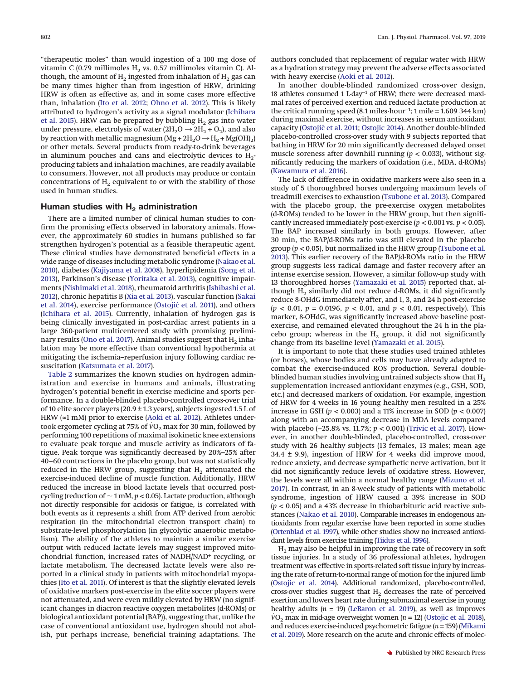"therapeutic moles" than would ingestion of a 100 mg dose of vitamin C (0.79 millimoles H<sub>2</sub> vs. 0.57 millimoles vitamin C). Although, the amount of  $H_2$  ingested from inhalation of  $H_2$  gas can be many times higher than from ingestion of HRW, drinking HRW is often as effective as, and in some cases more effective than, inhalation [\(Ito et al. 2012;](#page-8-31) [Ohno et al. 2012\)](#page-9-24). This is likely attributed to hydrogen's activity as a signal modulator [\(Ichihara](#page-8-1) [et al. 2015\)](#page-8-1). HRW can be prepared by bubbling  $\rm H_2$  gas into water under pressure, electrolysis of water  $(2H_2O \rightarrow 2H_2 + O_2)$ , and also by reaction with metallic magnesium (Mg +  $2H_2O \rightarrow H_2 + Mg(OH_2)$ ) or other metals. Several products from ready-to-drink beverages in aluminum pouches and cans and electrolytic devices to  $H_2$ producing tablets and inhalation machines, are readily available to consumers. However, not all products may produce or contain concentrations of  $H<sub>2</sub>$  equivalent to or with the stability of those used in human studies.

## Human studies with H<sub>2</sub> administration

There are a limited number of clinical human studies to confirm the promising effects observed in laboratory animals. However, the approximately 60 studies in humans published so far strengthen hydrogen's potential as a feasible therapeutic agent. These clinical studies have demonstrated beneficial effects in a wide range of diseases including metabolic syndrome [\(Nakao et al.](#page-8-30) [2010\)](#page-8-30), diabetes [\(Kajiyama et al. 2008\)](#page-8-32), hyperlipidemia [\(Song et al.](#page-9-25) [2013\)](#page-9-25), Parkinson's disease [\(Yoritaka et al. 2013\)](#page-9-26), cognitive impairments [\(Nishimaki et al. 2018\)](#page-8-33), rheumatoid arthritis [\(Ishibashi et al.](#page-8-24) [2012\)](#page-8-24), chronic hepatitis B [\(Xia et al. 2013\)](#page-9-27), vascular function [\(Sakai](#page-9-28) [et al. 2014\)](#page-9-28), exercise performance [\(Ostojic´ et al. 2011\)](#page-9-29), and others [\(Ichihara et al. 2015\)](#page-8-1). Currently, inhalation of hydrogen gas is being clinically investigated in post-cardiac arrest patients in a large 360-patient multicentered study with promising prelimi-nary results [\(Ono et al. 2017\)](#page-9-30). Animal studies suggest that  $H_2$  inhalation may be more effective than conventional hypothermia at mitigating the ischemia–reperfusion injury following cardiac resuscitation [\(Katsumata et al. 2017\)](#page-8-34).

[Table 2](#page-6-0) summarizes the known studies on hydrogen administration and exercise in humans and animals, illustrating hydrogen's potential benefit in exercise medicine and sports performance. In a double-blinded placebo-controlled cross-over trial of 10 elite soccer players (20.9 ± 1.3 years), subjects ingested 1.5 L of HRW (≈1 mM) prior to exercise [\(Aoki et al. 2012\)](#page-7-26). Athletes undertook ergometer cycling at 75% of  $\rm\dot{VO}_{2}$  max for 30 min, followed by performing 100 repetitions of maximal isokinetic knee extensions to evaluate peak torque and muscle activity as indicators of fatigue. Peak torque was significantly decreased by 20%–25% after 40–60 contractions in the placebo group, but was not statistically reduced in the HRW group, suggesting that  $H_2$  attenuated the exercise-induced decline of muscle function. Additionally, HRW reduced the increase in blood lactate levels that occurred postcycling (reduction of  $\sim$  1 mM,  $p$  < 0.05). Lactate production, although not directly responsible for acidosis or fatigue, is correlated with both events as it represents a shift from ATP derived from aerobic respiration (in the mitochondrial electron transport chain) to substrate-level phosphorylation (in glycolytic anaerobic metabolism). The ability of the athletes to maintain a similar exercise output with reduced lactate levels may suggest improved mitochondrial function, increased rates of NADH/NAD+ recycling, or lactate metabolism. The decreased lactate levels were also reported in a clinical study in patients with mitochondrial myopathies [\(Ito et al. 2011\)](#page-8-35). Of interest is that the slightly elevated levels of oxidative markers post-exercise in the elite soccer players were not attenuated, and were even mildly elevated by HRW (no significant changes in diacron reactive oxygen metabolites (d-ROMs) or biological antioxidant potential (BAP)), suggesting that, unlike the case of conventional antioxidant use, hydrogen should not abolish, put perhaps increase, beneficial training adaptations. The

authors concluded that replacement of regular water with HRW as a hydration strategy may prevent the adverse effects associated with heavy exercise [\(Aoki et al. 2012\)](#page-7-26).

In another double-blinded randomized cross-over design, 18 athletes consumed 1 L·day−1 of HRW; there were decreased maximal rates of perceived exertion and reduced lactate production at the critical running speed (8.1 miles·hour−1; 1 mile = 1.609 344 km) during maximal exercise, without increases in serum antioxidant capacity [\(Ostojic´ et al. 2011;](#page-9-29) [Ostojic 2014\)](#page-9-19). Another double-blinded placebo-controlled cross-over study with 9 subjects reported that bathing in HRW for 20 min significantly decreased delayed onset muscle soreness after downhill running ( $p < 0.033$ ), without significantly reducing the markers of oxidation (i.e., MDA, d-ROMs) [\(Kawamura et al. 2016\)](#page-8-36).

The lack of difference in oxidative markers were also seen in a study of 5 thoroughbred horses undergoing maximum levels of treadmill exercises to exhaustion [\(Tsubone et al. 2013\)](#page-9-31). Compared with the placebo group, the pre-exercise oxygen metabolites (d-ROMs) tended to be lower in the HRW group, but then significantly increased immediately post-exercise (*p* < 0.001 vs. *p* < 0.05). The BAP increased similarly in both groups. However, after 30 min, the BAP/d-ROMs ratio was still elevated in the placebo group (*p* < 0.05), but normalized in the HRW group [\(Tsubone et al.](#page-9-31) [2013\)](#page-9-31). This earlier recovery of the BAP/d-ROMs ratio in the HRW group suggests less radical damage and faster recovery after an intense exercise session. However, a similar follow-up study with 13 thoroughbred horses [\(Yamazaki et al. 2015\)](#page-9-32) reported that, although  $H_2$  similarly did not reduce d-ROMs, it did significantly reduce 8-OHdG immediately after, and 1, 3, and 24 h post-exercise (*p* < 0.01, *p* = 0.0196, *p* < 0.01, and *p* < 0.01, respectively). This marker, 8-OHdG, was significantly increased above baseline postexercise, and remained elevated throughout the 24 h in the placebo group; whereas in the  $H_2$  group, it did not significantly change from its baseline level [\(Yamazaki et al. 2015\)](#page-9-32).

It is important to note that these studies used trained athletes (or horses), whose bodies and cells may have already adapted to combat the exercise-induced ROS production. Several doubleblinded human studies involving untrained subjects show that  $H_2$ supplementation increased antioxidant enzymes (e.g., GSH, SOD, etc.) and decreased markers of oxidation. For example, ingestion of HRW for 4 weeks in 16 young healthy men resulted in a 25% increase in GSH (*p* < 0.003) and a 11% increase in SOD (*p* < 0.007) along with an accompanying decrease in MDA levels compared with placebo (-25.8% vs. 11.7%; *p* < 0.001) [\(Trivic et al. 2017\)](#page-9-33). However, in another double-blinded, placebo-controlled, cross-over study with 26 healthy subjects (13 females, 13 males; mean age 34.4 ± 9.9), ingestion of HRW for 4 weeks did improve mood, reduce anxiety, and decrease sympathetic nerve activation, but it did not significantly reduce levels of oxidative stress. However, the levels were all within a normal healthy range [\(Mizuno et al.](#page-8-37) [2017\)](#page-8-37). In contrast, in an 8-week study of patients with metabolic syndrome, ingestion of HRW caused a 39% increase in SOD  $(p < 0.05)$  and a 43% decrease in thiobarbituric acid reactive substances [\(Nakao et al. 2010\)](#page-8-30). Comparable increases in endogenous antioxidants from regular exercise have been reported in some studies [\(Ortenblad et al. 1997\)](#page-9-34), while other studies show no increased antioxidant levels from exercise training [\(Tiidus et al. 1996\)](#page-9-35).

 $H<sub>2</sub>$  may also be helpful in improving the rate of recovery in soft tissue injuries. In a study of 36 professional athletes, hydrogen treatment was effective in sports-related soft tissue injury by increasing the rate of return-to-normal range of motion for the injured limb [\(Ostojic et al. 2014\)](#page-9-22). Additional randomized, placebo-controlled, cross-over studies suggest that  $H<sub>2</sub>$  decreases the rate of perceived exertion and lowers heart rate during submaximal exercise in young healthy adults  $(n = 19)$  [\(LeBaron et al. 2019\)](#page-8-2), as well as improves  $VO<sub>2</sub>$  max in mid-age overweight women ( $n = 12$ ) [\(Ostojic et al. 2018\)](#page-9-23), and reduces exercise-induced psychometric fatigue (*n* = 159) [\(Mikami](#page-8-38) [et al. 2019\)](#page-8-38). More research on the acute and chronic effects of molec-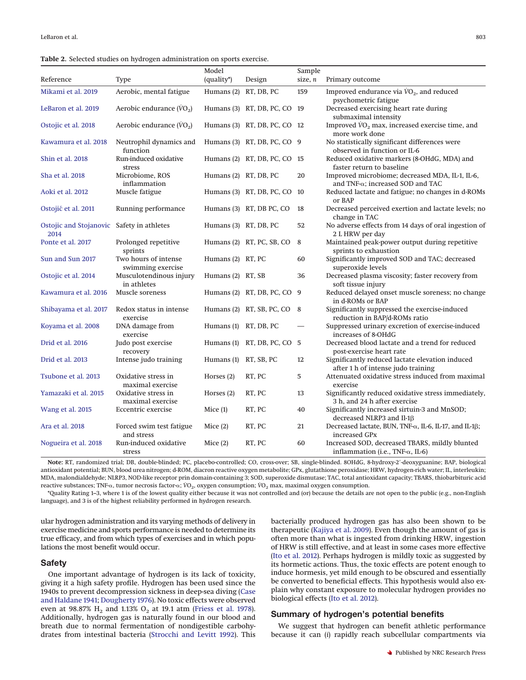<span id="page-6-0"></span>

|                                                   |                                           | Model                 |                                | Sample    |                                                                                             |
|---------------------------------------------------|-------------------------------------------|-----------------------|--------------------------------|-----------|---------------------------------------------------------------------------------------------|
| Reference                                         | <b>Type</b>                               | (quality*)            | Design                         | size, $n$ | Primary outcome                                                                             |
| Mikami et al. 2019                                | Aerobic, mental fatigue                   | Humans (2) RT, DB, PC |                                | 159       | Improved endurance via $\dot{V}O_2$ , and reduced<br>psychometric fatigue                   |
| LeBaron et al. 2019                               | Aerobic endurance $(\dot{V}O_2)$          |                       | Humans (3) RT, DB, PC, CO 19   |           | Decreased exercising heart rate during<br>submaximal intensity                              |
| Ostojic et al. 2018                               | Aerobic endurance $(\dot{V}O_2)$          |                       | Humans (3) RT, DB, PC, CO 12   |           | Improved $\rm \dot{V}O_{2}$ max, increased exercise time, and<br>more work done             |
| Kawamura et al. 2018                              | Neutrophil dynamics and<br>function       |                       | Humans (3) RT, DB, PC, CO 9    |           | No statistically significant differences were<br>observed in function or IL-6               |
| Shin et al. 2018                                  | Run-induced oxidative<br>stress           |                       | Humans (2) RT, DB, PC, CO 15   |           | Reduced oxidative markers (8-OHdG, MDA) and<br>faster return to baseline                    |
| Sha et al. 2018                                   | Microbiome, ROS<br>inflammation           | Humans (2) RT, DB, PC |                                | 20        | Improved microbiome; decreased MDA, IL-1, IL-6,<br>and TNF-α; increased SOD and TAC         |
| Aoki et al. 2012                                  | Muscle fatigue                            |                       | Humans $(3)$ RT, DB, PC, CO 10 |           | Reduced lactate and fatigue; no changes in d-ROMs<br>or BAP                                 |
| Ostojić et al. 2011                               | Running performance                       |                       | Humans (3) RT, DB PC, CO       | 18        | Decreased perceived exertion and lactate levels; no<br>change in TAC                        |
| Ostojic and Stojanovic Safety in athletes<br>2014 |                                           | Humans (3) RT, DB, PC |                                | 52        | No adverse effects from 14 days of oral ingestion of<br>2 L HRW per day                     |
| Ponte et al. 2017                                 | Prolonged repetitive<br>sprints           |                       | Humans (2) RT, PC, SB, CO      | 8         | Maintained peak-power output during repetitive<br>sprints to exhaustion                     |
| Sun and Sun 2017                                  | Two hours of intense<br>swimming exercise | Humans (2) RT, PC     |                                | 60        | Significantly improved SOD and TAC; decreased<br>superoxide levels                          |
| Ostojic et al. 2014                               | Musculotendinous injury<br>in athletes    | Humans (2) RT, SB     |                                | 36        | Decreased plasma viscosity; faster recovery from<br>soft tissue injury                      |
| Kawamura et al. 2016                              | Muscle soreness                           |                       | Humans (2) RT, DB, PC, CO 9    |           | Reduced delayed onset muscle soreness; no change<br>in d-ROMs or BAP                        |
| Shibayama et al. 2017                             | Redox status in intense<br>exercise       |                       | Humans (2) RT, SB, PC, CO      | 8         | Significantly suppressed the exercise-induced<br>reduction in BAP/d-ROMs ratio              |
| Koyama et al. 2008                                | DNA damage from<br>exercise               | Humans (1) RT, DB, PC |                                |           | Suppressed urinary excretion of exercise-induced<br>increases of 8-OHdG                     |
| Drid et al. 2016                                  | Judo post exercise<br>recovery            |                       | Humans (1) RT, DB, PC, CO 5    |           | Decreased blood lactate and a trend for reduced<br>post-exercise heart rate                 |
| Drid et al. 2013                                  | Intense judo training                     | Humans (1) RT, SB, PC |                                | 12        | Significantly reduced lactate elevation induced<br>after 1 h of intense judo training       |
| Tsubone et al. 2013                               | Oxidative stress in<br>maximal exercise   | Horses $(2)$          | RT, PC                         | 5         | Attenuated oxidative stress induced from maximal<br>exercise                                |
| Yamazaki et al. 2015                              | Oxidative stress in<br>maximal exercise   | Horses $(2)$          | RT, PC                         | 13        | Significantly reduced oxidative stress immediately,<br>3 h, and 24 h after exercise         |
| Wang et al. 2015                                  | Eccentric exercise                        | Mice $(1)$            | RT, PC                         | 40        | Significantly increased sirtuin-3 and MnSOD;<br>decreased NLRP3 and Il-1 <sub>B</sub>       |
| Ara et al. 2018                                   | Forced swim test fatigue<br>and stress    | Mice $(2)$            | RT, PC                         | 21        | Decreased lactate, BUN, TNF-α, IL-6, IL-17, and IL-1β;<br>increased GPx                     |
| Nogueira et al. 2018                              | Run-induced oxidative<br>stress           | Mice $(2)$            | RT, PC                         | 60        | Increased SOD, decreased TBARS, mildly blunted<br>inflammation (i.e., TNF- $\alpha$ , IL-6) |

Note: RT, randomized trial; DB, double-blinded; PC, placebo-controlled; CO, cross-over; SB, single-blinded. 8OHdG, 8-hydroxy-2'-deoxyguanine; BAP, biological antioxidant potential; BUN, blood urea nitrogen; d-ROM, diacron reactive oxygen metabolite; GPx, glutathione peroxidase; HRW, hydrogen-rich water; IL, interleukin; MDA, malondialdehyde; NLRP3, NOD-like receptor prin domain-containing 3; SOD, superoxide dismutase; TAC, total antioxidant capacity; TBARS, thiobarbituric acid reactive substances; TNF-α, tumor necrosis factor-α; *V*O<sub>2</sub>, oxygen consumption; *V*O<sub>2</sub> max, maximal oxygen consumption.

\*Quality Rating 1–3, where 1 is of the lowest quality either because it was not controlled and (or) because the details are not open to the public (e.g., non-English language), and 3 is of the highest reliability performed in hydrogen research.

ular hydrogen administration and its varying methods of delivery in exercise medicine and sports performance is needed to determine its true efficacy, and from which types of exercises and in which populations the most benefit would occur.

#### **Safety**

One important advantage of hydrogen is its lack of toxicity, giving it a high safety profile. Hydrogen has been used since the 1940s to prevent decompression sickness in deep-sea diving [\(Case](#page-7-27) [and Haldane 1941;](#page-7-27) [Dougherty 1976\)](#page-7-28). No toxic effects were observed even at 98.87%  $H_2$  and 1.13%  $O_2$  at 19.1 atm [\(Friess et al. 1978\)](#page-7-29). Additionally, hydrogen gas is naturally found in our blood and breath due to normal fermentation of nondigestible carbohydrates from intestinal bacteria [\(Strocchi and Levitt 1992\)](#page-9-36). This

bacterially produced hydrogen gas has also been shown to be therapeutic [\(Kajiya et al. 2009\)](#page-8-39). Even though the amount of gas is often more than what is ingested from drinking HRW, ingestion of HRW is still effective, and at least in some cases more effective [\(Ito et al. 2012\)](#page-8-31). Perhaps hydrogen is mildly toxic as suggested by its hormetic actions. Thus, the toxic effects are potent enough to induce hormesis, yet mild enough to be obscured and essentially be converted to beneficial effects. This hypothesis would also explain why constant exposure to molecular hydrogen provides no biological effects [\(Ito et al. 2012\)](#page-8-31).

## **Summary of hydrogen's potential benefits**

We suggest that hydrogen can benefit athletic performance because it can (*i*) rapidly reach subcellular compartments via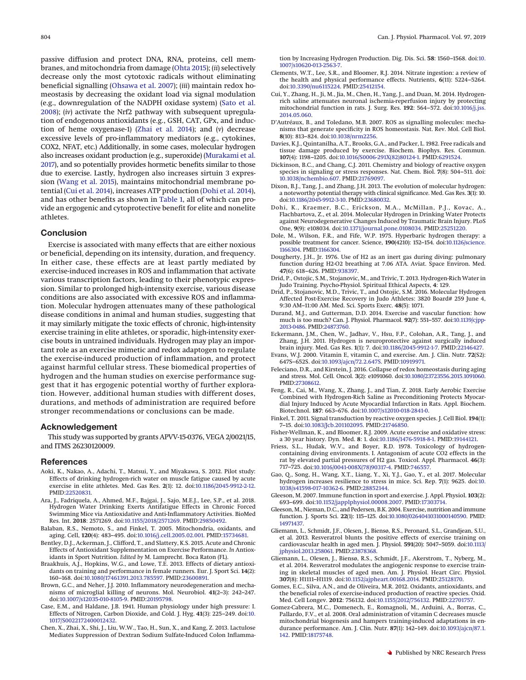passive diffusion and protect DNA, RNA, proteins, cell membranes, and mitochondria from damage [\(Ohta 2015\)](#page-9-16); (*ii*) selectively decrease only the most cytotoxic radicals without eliminating beneficial signalling [\(Ohsawa et al. 2007\)](#page-9-0); (*iii*) maintain redox homeostasis by decreasing the oxidant load via signal modulation (e.g., downregulation of the NADPH oxidase system) [\(Sato et al.](#page-9-44) [2008\)](#page-9-44); (*iv*) activate the Nrf2 pathway with subsequent upregulation of endogenous antioxidants (e.g., GSH, CAT, GPx, and induction of heme oxygenase-1) [\(Zhai et al. 2014\)](#page-10-1); and (*v*) decrease excessive levels of pro-inflammatory mediators (e.g., cytokines, COX2, NFAT, etc.) Additionally, in some cases, molecular hydrogen also increases oxidant production (e.g., superoxide) [\(Murakami et al.](#page-8-21) [2017\)](#page-8-21), and so potentially provides hormetic benefits similar to those due to exercise. Lastly, hydrogen also increases sirtuin 3 expression [\(Wang et al. 2015\)](#page-9-43), maintains mitochondrial membrane potential [\(Cui et al. 2014\)](#page-7-23), increases ATP production [\(Dohi et al. 2014\)](#page-7-33), and has other benefits as shown in [Table 1,](#page-4-0) all of which can provide an ergogenic and cytoprotective benefit for elite and nonelite athletes.

#### **Conclusion**

Exercise is associated with many effects that are either noxious or beneficial, depending on its intensity, duration, and frequency. In either case, these effects are at least partly mediated by exercise-induced increases in ROS and inflammation that activate various transcription factors, leading to their phenotypic expression. Similar to prolonged high-intensity exercise, various disease conditions are also associated with excessive ROS and inflammation. Molecular hydrogen attenuates many of these pathological disease conditions in animal and human studies, suggesting that it may similarly mitigate the toxic effects of chronic, high-intensity exercise training in elite athletes, or sporadic, high-intensity exercise bouts in untrained individuals. Hydrogen may play an important role as an exercise mimetic and redox adaptogen to regulate the exercise-induced production of inflammation, and protect against harmful cellular stress. These biomedical properties of hydrogen and the human studies on exercise performance suggest that it has ergogenic potential worthy of further exploration. However, additional human studies with different doses, durations, and methods of administration are required before stronger recommendations or conclusions can be made.

#### **Acknowledgement**

This study was supported by grants APVV-15-0376, VEGA 2/0021/15, and ITMS 26230120009.

#### <span id="page-7-26"></span>**References**

- Aoki, K., Nakao, A., Adachi, T., Matsui, Y., and Miyakawa, S. 2012. Pilot study: Effects of drinking hydrogen-rich water on muscle fatigue caused by acute exercise in elite athletes. Med. Gas Res. **2**(1): 12. doi[:10.1186/2045-9912-2-12.](http://dx.doi.org/10.1186/2045-9912-2-12) PMID[:22520831.](http://www.ncbi.nlm.nih.gov/pubmed/22520831)
- <span id="page-7-32"></span>Ara, J., Fadriquela, A., Ahmed, M.F., Bajgai, J., Sajo, M.E.J., Lee, S.P., et al. 2018. Hydrogen Water Drinking Exerts Antifatigue Effects in Chronic Forced Swimming Mice via Antioxidative and Anti-Inflammatory Activities. BioMed Res. Int. **2018**: 2571269. doi[:10.1155/2018/2571269.](http://dx.doi.org/10.1155/2018/2571269) PMID[:29850492.](http://www.ncbi.nlm.nih.gov/pubmed/29850492)
- <span id="page-7-8"></span>Balaban, R.S., Nemoto, S., and Finkel, T. 2005. Mitochondria, oxidants, and aging. Cell, **120**(4): 483–495. doi[:10.1016/j.cell.2005.02.001.](http://dx.doi.org/10.1016/j.cell.2005.02.001) PMID[:15734681.](http://www.ncbi.nlm.nih.gov/pubmed/15734681)
- <span id="page-7-1"></span>Bentley, D.J., Ackerman, J., Clifford, T., and Slattery, K.S. 2015. Acute and Chronic Effects of Antioxidant Supplementation on Exercise Performance. *In* Antioxidants in Sport Nutrition. *Edited by* M. Lamprecht. Boca Raton (FL).
- <span id="page-7-13"></span>Braakhuis, A.J., Hopkins, W.G., and Lowe, T.E. 2013. Effects of dietary antioxidants on training and performance in female runners. Eur. J. Sport Sci. **14**(2): 160–168. doi[:10.1080/17461391.2013.785597.](http://dx.doi.org/10.1080/17461391.2013.785597) PMID[:23600891.](http://www.ncbi.nlm.nih.gov/pubmed/23600891)
- <span id="page-7-4"></span>Brown, G.C., and Neher, J.J. 2010. Inflammatory neurodegeneration and mechanisms of microglial killing of neurons. Mol. Neurobiol. **41**(2–3): 242–247. doi[:10.1007/s12035-010-8105-9.](http://dx.doi.org/10.1007/s12035-010-8105-9) PMID[:20195798.](http://www.ncbi.nlm.nih.gov/pubmed/20195798)
- <span id="page-7-27"></span>Case, E.M., and Haldane, J.B. 1941. Human physiology under high pressure: I. Effects of Nitrogen, Carbon Dioxide, and Cold. J. Hyg. **41**(3): 225–249. doi[:10.](http://dx.doi.org/10.1017/S0022172400012432) [1017/S0022172400012432.](http://dx.doi.org/10.1017/S0022172400012432)
- <span id="page-7-25"></span>Chen, X., Zhai, X., Shi, J., Liu, W.W., Tao, H., Sun, X., and Kang, Z. 2013. Lactulose Mediates Suppression of Dextran Sodium Sulfate-Induced Colon Inflamma-

tion by Increasing Hydrogen Production. Dig. Dis. Sci. **58**: 1560–1568. doi[:10.](http://dx.doi.org/10.1007/s10620-013-2563-7) [1007/s10620-013-2563-7.](http://dx.doi.org/10.1007/s10620-013-2563-7)

- <span id="page-7-3"></span>Clements, W.T., Lee, S.R., and Bloomer, R.J. 2014. Nitrate ingestion: a review of the health and physical performance effects. Nutrients, **6**(11): 5224–5264. doi[:10.3390/nu6115224.](http://dx.doi.org/10.3390/nu6115224) PMID[:25412154.](http://www.ncbi.nlm.nih.gov/pubmed/25412154)
- <span id="page-7-23"></span>Cui, Y., Zhang, H., Ji, M., Jia, M., Chen, H., Yang, J., and Duan, M. 2014. Hydrogenrich saline attenuates neuronal ischemia-reperfusion injury by protecting mitochondrial function in rats. J. Surg. Res. **192**: 564–572. doi[:10.1016/j.jss.](http://dx.doi.org/10.1016/j.jss.2014.05.060) [2014.05.060.](http://dx.doi.org/10.1016/j.jss.2014.05.060)
- <span id="page-7-5"></span>D'Autréaux, B., and Toledano, M.B. 2007. ROS as signalling molecules: mechanisms that generate specificity in ROS homeostasis. Nat. Rev. Mol. Cell Biol. **8**(10): 813–824. doi[:10.1038/nrm2256.](http://dx.doi.org/10.1038/nrm2256)
- <span id="page-7-12"></span>Davies, K.J., Quintanilha, A.T., Brooks, G.A., and Packer, L. 1982. Free radicals and tissue damage produced by exercise. Biochem. Biophys. Res. Commun. **107**(4): 1198–1205. doi[:10.1016/S0006-291X\(82\)80124-1.](http://dx.doi.org/10.1016/S0006-291X(82)80124-1) PMID[:6291524.](http://www.ncbi.nlm.nih.gov/pubmed/6291524)
- <span id="page-7-6"></span>Dickinson, B.C., and Chang, C.J. 2011. Chemistry and biology of reactive oxygen species in signaling or stress responses. Nat. Chem. Biol. **7**(8): 504–511. doi: [10.1038/nchembio.607.](http://dx.doi.org/10.1038/nchembio.607) PMID[:21769097.](http://www.ncbi.nlm.nih.gov/pubmed/21769097)
- <span id="page-7-19"></span>Dixon, B.J., Tang, J., and Zhang, J.H. 2013. The evolution of molecular hydrogen: a noteworthy potential therapy with clinical significance. Med. Gas Res. **3**(1): 10. doi[:10.1186/2045-9912-3-10.](http://dx.doi.org/10.1186/2045-9912-3-10) PMID[:23680032.](http://www.ncbi.nlm.nih.gov/pubmed/23680032)
- <span id="page-7-33"></span>Dohi, K., Kraemer, B.C., Erickson, M.A., McMillan, P.J., Kovac, A., Flachbartova, Z., et al. 2014. Molecular Hydrogen in Drinking Water Protects against Neurodegenerative Changes Induced by Traumatic Brain Injury. PLoS One, **9**(9): e108034. doi[:10.1371/journal.pone.0108034.](http://dx.doi.org/10.1371/journal.pone.0108034) PMID[:25251220.](http://www.ncbi.nlm.nih.gov/pubmed/25251220)
- <span id="page-7-24"></span>Dole, M., Wilson, F.R., and Fife, W.P. 1975. Hyperbaric hydrogen therapy: a possible treatment for cancer. Science, **190**(4210): 152–154. doi[:10.1126/science.](http://dx.doi.org/10.1126/science.1166304) [1166304.](http://dx.doi.org/10.1126/science.1166304) PMID[:1166304.](http://www.ncbi.nlm.nih.gov/pubmed/1166304)
- <span id="page-7-28"></span>Dougherty, J.H., Jr. 1976. Use of H2 as an inert gas during diving: pulmonary function during H2-O2 breathing at 7.06 ATA. Aviat. Space Environ. Med. **47**(6): 618–626. PMID[:938397.](http://www.ncbi.nlm.nih.gov/pubmed/938397)
- <span id="page-7-31"></span>Drid, P., Ostojic, S.M., Stojanovic, M., and Trivic, T. 2013. Hydrogen-Rich Water in Judo Training. Psycho-Physiol. Spiritual Ethical Aspects, **4**: 129.
- <span id="page-7-30"></span>Drid, P., Stojanovic, M.D., Trivic, T., and Ostojic, S.M. 2016. Molecular Hydrogen Affected Post-Exercise Recovery in Judo Athletes: 3820 Board# 259 June 4, 9:30 AM–11:00 AM. Med. Sci. Sports Exerc. **48**(5): 1071.
- <span id="page-7-10"></span>Durand, M.J., and Gutterman, D.D. 2014. Exercise and vascular function: how much is too much? Can. J. Physiol. Pharmacol. **92**(7): 551–557. doi[:10.1139/cjpp-](http://dx.doi.org/10.1139/cjpp-2013-0486)[2013-0486.](http://dx.doi.org/10.1139/cjpp-2013-0486) PMID[:24873760.](http://www.ncbi.nlm.nih.gov/pubmed/24873760)
- <span id="page-7-22"></span>Eckermann, J.M., Chen, W., Jadhav, V., Hsu, F.P., Colohan, A.R., Tang, J., and Zhang, J.H. 2011. Hydrogen is neuroprotective against surgically induced brain injury. Med. Gas Res. **1**(1): 7. doi[:10.1186/2045-9912-1-7.](http://dx.doi.org/10.1186/2045-9912-1-7) PMID[:22146427.](http://www.ncbi.nlm.nih.gov/pubmed/22146427)
- <span id="page-7-11"></span>Evans, W.J. 2000. Vitamin E, vitamin C, and exercise. Am. J. Clin. Nutr. **72**(S2): 647S–652S. doi[:10.1093/ajcn/72.2.647S.](http://dx.doi.org/10.1093/ajcn/72.2.647S) PMID[:10919971.](http://www.ncbi.nlm.nih.gov/pubmed/10919971)
- <span id="page-7-7"></span>Feleciano, D.R., and Kirstein, J. 2016. Collapse of redox homeostasis during aging and stress. Mol. Cell. Oncol. **3**(2): e1091060. doi[:10.1080/23723556.2015.1091060.](http://dx.doi.org/10.1080/23723556.2015.1091060) PMID[:27308612.](http://www.ncbi.nlm.nih.gov/pubmed/27308612)
- <span id="page-7-21"></span>Feng, R., Cai, M., Wang, X., Zhang, J., and Tian, Z. 2018. Early Aerobic Exercise Combined with Hydrogen-Rich Saline as Preconditioning Protects Myocardial Injury Induced by Acute Myocardial Infarction in Rats. Appl. Biochem. Biotechnol. **187**: 663–676. doi[:10.1007/s12010-018-2841-0.](http://dx.doi.org/10.1007/s12010-018-2841-0)
- <span id="page-7-2"></span>Finkel, T. 2011. Signal transduction by reactive oxygen species. J. Cell Biol. **194**(1): 7–15. doi[:10.1083/Jcb.201102095.](http://dx.doi.org/10.1083/Jcb.201102095) PMID[:21746850.](http://www.ncbi.nlm.nih.gov/pubmed/21746850)
- <span id="page-7-9"></span>Fisher-Wellman, K., and Bloomer, R.J. 2009. Acute exercise and oxidative stress: a 30 year history. Dyn. Med. **8**: 1. doi[:10.1186/1476-5918-8-1.](http://dx.doi.org/10.1186/1476-5918-8-1) PMID[:19144121.](http://www.ncbi.nlm.nih.gov/pubmed/19144121)
- <span id="page-7-29"></span>Friess, S.L., Hudak, W.V., and Boyer, R.D. 1978. Toxicology of hydrogencontaining diving environments. I. Antagonism of acute CO2 effects in the rat by elevated partial pressures of H2 gas. Toxicol. Appl. Pharmacol. **46**(3): 717–725. doi[:10.1016/0041-008X\(78\)90317-4.](http://dx.doi.org/10.1016/0041-008X(78)90317-4) PMID[:746557.](http://www.ncbi.nlm.nih.gov/pubmed/746557)
- <span id="page-7-20"></span>Gao, Q., Song, H., Wang, X.T., Liang, Y., Xi, Y.J., Gao, Y., et al. 2017. Molecular hydrogen increases resilience to stress in mice. Sci. Rep. **7**(1): 9625. doi[:10.](http://dx.doi.org/10.1038/s41598-017-10362-6) [1038/s41598-017-10362-6.](http://dx.doi.org/10.1038/s41598-017-10362-6) PMID[:28852144.](http://www.ncbi.nlm.nih.gov/pubmed/28852144)
- <span id="page-7-17"></span>Gleeson, M. 2007. Immune function in sport and exercise. J. Appl. Physiol. **103**(2): 693–699. doi[:10.1152/japplphysiol.00008.2007.](http://dx.doi.org/10.1152/japplphysiol.00008.2007) PMID[:17303714.](http://www.ncbi.nlm.nih.gov/pubmed/17303714)
- <span id="page-7-18"></span>Gleeson, M., Nieman, D.C., and Pedersen, B.K. 2004. Exercise, nutrition and immune function. J. Sports Sci. **22**(1): 115–125. doi[:10.1080/0264041031000140590.](http://dx.doi.org/10.1080/0264041031000140590) PMID: [14971437.](http://www.ncbi.nlm.nih.gov/pubmed/14971437)
- <span id="page-7-15"></span>Gliemann, L., Schmidt, J.F., Olesen, J., Biensø, R.S., Peronard, S.L., Grandjean, S.U., et al. 2013. Resveratrol blunts the positive effects of exercise training on cardiovascular health in aged men. J. Physiol. **591**(20): 5047–5059. doi[:10.1113/](http://dx.doi.org/10.1113/jphysiol.2013.258061) [jphysiol.2013.258061.](http://dx.doi.org/10.1113/jphysiol.2013.258061) PMID[:23878368.](http://www.ncbi.nlm.nih.gov/pubmed/23878368)
- <span id="page-7-16"></span>Gliemann, L., Olesen, J., Biensø, R.S., Schmidt, J.F., Akerstrom, T., Nyberg, M., et al. 2014. Resveratrol modulates the angiogenic response to exercise training in skeletal muscles of aged men. Am. J. Physiol. Heart Circ. Physiol. **307**(8): H1111–H1119. doi[:10.1152/ajpheart.00168.2014.](http://dx.doi.org/10.1152/ajpheart.00168.2014) PMID[:25128170.](http://www.ncbi.nlm.nih.gov/pubmed/25128170)
- <span id="page-7-0"></span>Gomes, E.C., Silva, A.N., and de Oliveira, M.R. 2012. Oxidants, antioxidants, and the beneficial roles of exercise-induced production of reactive species. Oxid. Med. Cell Longev. **2012**: 756132. doi[:10.1155/2012/756132.](http://dx.doi.org/10.1155/2012/756132) PMID[:22701757.](http://www.ncbi.nlm.nih.gov/pubmed/22701757)
- <span id="page-7-14"></span>Gomez-Cabrera, M.C., Domenech, E., Romagnoli, M., Arduini, A., Borras, C., Pallardo, F.V., et al. 2008. Oral administration of vitamin C decreases muscle mitochondrial biogenesis and hampers training-induced adaptations in endurance performance. Am. J. Clin. Nutr. **87**(1): 142–149. doi[:10.1093/ajcn/87.1.](http://dx.doi.org/10.1093/ajcn/87.1.142) [142.](http://dx.doi.org/10.1093/ajcn/87.1.142) PMID[:18175748.](http://www.ncbi.nlm.nih.gov/pubmed/18175748)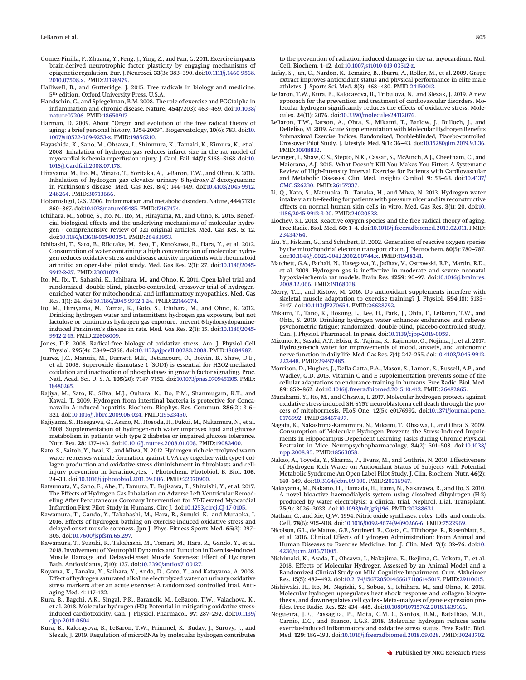- <span id="page-8-4"></span>Gomez-Pinilla, F., Zhuang, Y., Feng, J., Ying, Z., and Fan, G. 2011. Exercise impacts brain-derived neurotrophic factor plasticity by engaging mechanisms of epigenetic regulation. Eur. J. Neurosci. **33**(3): 383–390. doi[:10.1111/j.1460-9568.](http://dx.doi.org/10.1111/j.1460-9568.2010.07508.x) [2010.07508.x.](http://dx.doi.org/10.1111/j.1460-9568.2010.07508.x) PMID[:21198979.](http://www.ncbi.nlm.nih.gov/pubmed/21198979)
- <span id="page-8-9"></span>Halliwell, B., and Gutteridge, J. 2015. Free radicals in biology and medicine. 5th edition, Oxford University Press, U.S.A.
- <span id="page-8-15"></span>Handschin, C., and Spiegelman, B.M. 2008. The role of exercise and PGC1alpha in inflammation and chronic disease. Nature, **454**(7203): 463–469. doi[:10.1038/](http://dx.doi.org/10.1038/nature07206) [nature07206.](http://dx.doi.org/10.1038/nature07206) PMID[:18650917.](http://www.ncbi.nlm.nih.gov/pubmed/18650917)
- <span id="page-8-5"></span>Harman, D. 2009. About "Origin and evolution of the free radical theory of aging: a brief personal history, 1954-2009". Biogerontology, **10**(6): 783. doi[:10.](http://dx.doi.org/10.1007/s10522-009-9253-z) [1007/s10522-009-9253-z.](http://dx.doi.org/10.1007/s10522-009-9253-z) PMID[:19856210.](http://www.ncbi.nlm.nih.gov/pubmed/19856210)
- <span id="page-8-26"></span>Hayashida, K., Sano, M., Ohsawa, I., Shinmura, K., Tamaki, K., Kimura, K., et al. 2008. Inhalation of hydrogen gas reduces infarct size in the rat model of myocardial ischemia-reperfusion injury. J. Card. Fail. **14**(7): S168–S168. doi[:10.](http://dx.doi.org/10.1016/J.Cardfail.2008.07.178) [1016/J.Cardfail.2008.07.178.](http://dx.doi.org/10.1016/J.Cardfail.2008.07.178)
- <span id="page-8-23"></span>Hirayama, M., Ito, M., Minato, T., Yoritaka, A., LeBaron, T.W., and Ohno, K. 2018. Inhalation of hydrogen gas elevates urinary 8-hydroxy-2'-deoxyguanine in Parkinson's disease. Med. Gas Res. **8**(4): 144–149. doi[:10.4103/2045-9912.](http://dx.doi.org/10.4103/2045-9912.248264) [248264.](http://dx.doi.org/10.4103/2045-9912.248264) PMID[:30713666.](http://www.ncbi.nlm.nih.gov/pubmed/30713666)
- <span id="page-8-14"></span>Hotamisligil, G.S. 2006. Inflammation and metabolic disorders. Nature, **444**(7121): 860–867. doi[:10.1038/nature05485.](http://dx.doi.org/10.1038/nature05485) PMID[:17167474.](http://www.ncbi.nlm.nih.gov/pubmed/17167474)
- <span id="page-8-1"></span>Ichihara, M., Sobue, S., Ito, M., Ito, M., Hirayama, M., and Ohno, K. 2015. Beneficial biological effects and the underlying mechanisms of molecular hydrogen - comprehensive review of 321 original articles. Med. Gas Res. **5**: 12. doi[:10.1186/s13618-015-0035-1.](http://dx.doi.org/10.1186/s13618-015-0035-1) PMID[:26483953.](http://www.ncbi.nlm.nih.gov/pubmed/26483953)
- <span id="page-8-24"></span>Ishibashi, T., Sato, B., Rikitake, M., Seo, T., Kurokawa, R., Hara, Y., et al. 2012. Consumption of water containing a high concentration of molecular hydrogen reduces oxidative stress and disease activity in patients with rheumatoid arthritis: an open-label pilot study. Med. Gas Res. **2**(1): 27. doi[:10.1186/2045-](http://dx.doi.org/10.1186/2045-9912-2-27) [9912-2-27.](http://dx.doi.org/10.1186/2045-9912-2-27) PMID[:23031079.](http://www.ncbi.nlm.nih.gov/pubmed/23031079)
- <span id="page-8-35"></span>Ito, M., Ibi, T., Sahashi, K., Ichihara, M., and Ohno, K. 2011. Open-label trial and randomized, double-blind, placebo-controlled, crossover trial of hydrogenenriched water for mitochondrial and inflammatory myopathies. Med. Gas Res. **1**(1): 24. doi[:10.1186/2045-9912-1-24.](http://dx.doi.org/10.1186/2045-9912-1-24) PMID[:22146674.](http://www.ncbi.nlm.nih.gov/pubmed/22146674)
- <span id="page-8-31"></span>Ito, M., Hirayama, M., Yamai, K., Goto, S., Ichihara, M., and Ohno, K. 2012. Drinking hydrogen water and intermittent hydrogen gas exposure, but not lactulose or continuous hydrogen gas exposure, prevent 6-hydorxydopamineinduced Parkinson's disease in rats. Med. Gas Res. **2**(1): 15. doi[:10.1186/2045-](http://dx.doi.org/10.1186/2045-9912-2-15) [9912-2-15.](http://dx.doi.org/10.1186/2045-9912-2-15) PMID[:22608009.](http://www.ncbi.nlm.nih.gov/pubmed/22608009)
- <span id="page-8-7"></span>Jones, D.P. 2008. Radical-free biology of oxidative stress. Am. J. Physiol.-Cell Physiol. **295**(4): C849–C868. doi[:10.1152/ajpcell.00283.2008.](http://dx.doi.org/10.1152/ajpcell.00283.2008) PMID[:18684987.](http://www.ncbi.nlm.nih.gov/pubmed/18684987)
- <span id="page-8-11"></span>Juarez, J.C., Manuia, M., Burnett, M.E., Betancourt, O., Boivin, B., Shaw, D.E., et al. 2008. Superoxide dismutase 1 (SOD1) is essential for H2O2-mediated oxidation and inactivation of phosphatases in growth factor signaling. Proc. Natl. Acad. Sci. U. S. A. **105**(20): 7147–7152. doi[:10.1073/pnas.0709451105.](http://dx.doi.org/10.1073/pnas.0709451105) PMID: [18480265.](http://www.ncbi.nlm.nih.gov/pubmed/18480265)
- <span id="page-8-39"></span>Kajiya, M., Sato, K., Silva, M.J., Ouhara, K., Do, P.M., Shanmugam, K.T., and Kawai, T. 2009. Hydrogen from intestinal bacteria is protective for Concanavalin A-induced hepatitis. Biochem. Biophys. Res. Commun. **386**(2): 316– 321. doi[:10.1016/j.bbrc.2009.06.024.](http://dx.doi.org/10.1016/j.bbrc.2009.06.024) PMID[:19523450.](http://www.ncbi.nlm.nih.gov/pubmed/19523450)
- <span id="page-8-32"></span>Kajiyama, S., Hasegawa, G., Asano, M., Hosoda, H., Fukui, M., Nakamura, N., et al. 2008. Supplementation of hydrogen-rich water improves lipid and glucose metabolism in patients with type 2 diabetes or impaired glucose tolerance. Nutr. Res. **28**: 137–143. doi[:10.1016/j.nutres.2008.01.008.](http://dx.doi.org/10.1016/j.nutres.2008.01.008) PMID[:19083400.](http://www.ncbi.nlm.nih.gov/pubmed/19083400)
- <span id="page-8-29"></span>Kato, S., Saitoh, Y., Iwai, K., and Miwa, N. 2012. Hydrogen-rich electrolyzed warm water represses wrinkle formation against UVA ray together with type-I collagen production and oxidative-stress diminishment in fibroblasts and cellinjury prevention in keratinocytes. J. Photochem. Photobiol. B: Biol. **106**: 24–33. doi[:10.1016/j.jphotobiol.2011.09.006.](http://dx.doi.org/10.1016/j.jphotobiol.2011.09.006) PMID[:22070900.](http://www.ncbi.nlm.nih.gov/pubmed/22070900)
- <span id="page-8-34"></span>Katsumata, Y., Sano, F., Abe, T., Tamura, T., Fujisawa, T., Shiraishi, Y., et al. 2017. The Effects of Hydrogen Gas Inhalation on Adverse Left Ventricular Remodeling After Percutaneous Coronary Intervention for ST-Elevated Myocardial Infarction-First Pilot Study in Humans. Circ J. doi[:10.1253/circj.CJ-17-0105.](http://dx.doi.org/10.1253/circj.CJ-17-0105)
- <span id="page-8-36"></span>Kawamura, T., Gando, Y., Takahashi, M., Hara, R., Suzuki, K., and Muraoka, I. 2016. Effects of hydrogen bathing on exercise-induced oxidative stress and delayed-onset muscle soreness. Jpn J. Phys. Fitness Sports Med. **65**(3): 297– 305. doi[:10.7600/jspfsm.65.297.](http://dx.doi.org/10.7600/jspfsm.65.297)
- <span id="page-8-40"></span>Kawamura, T., Suzuki, K., Takahashi, M., Tomari, M., Hara, R., Gando, Y., et al. 2018. Involvement of Neutrophil Dynamics and Function in Exercise-Induced Muscle Damage and Delayed-Onset Muscle Soreness: Effect of Hydrogen Bath. Antioxidants, **7**(10): 127. doi[:10.3390/antiox7100127.](http://dx.doi.org/10.3390/antiox7100127)
- <span id="page-8-41"></span>Koyama, K., Tanaka, Y., Saihara, Y., Ando, D., Goto, Y., and Katayama, A. 2008. Effect of hydrogen saturated alkaline electrolyzed water on urinary oxidative stress markers after an acute exercise: A randomized controlled trial. Antiaging Med. **4**: 117–122.
- <span id="page-8-22"></span>Kura, B., Bagchi, A.K., Singal, P.K., Barancik, M., LeBaron, T.W., Valachova, K., et al. 2018. Molecular hydrogen (H2): Potential in mitigating oxidative stressinduced cardiotoxicity. Can. J. Physiol. Pharmacol. **97**: 287–292. doi[:10.1139/](http://dx.doi.org/10.1139/cjpp-2018-0604) [cjpp-2018-0604.](http://dx.doi.org/10.1139/cjpp-2018-0604)
- <span id="page-8-20"></span>Kura, B., Kalocayova, B., LeBaron, T.W., Frimmel, K., Buday, J., Surovy, J., and Slezak, J. 2019. Regulation of microRNAs by molecular hydrogen contributes

to the prevention of radiation-induced damage in the rat myocardium. Mol. Cell. Biochem. 1–12. doi[:10.1007/s11010-019-03512-z.](http://dx.doi.org/10.1007/s11010-019-03512-z)

- <span id="page-8-12"></span>Lafay, S., Jan, C., Nardon, K., Lemaire, B., Ibarra, A., Roller, M., et al. 2009. Grape extract improves antioxidant status and physical performance in elite male athletes. J. Sports Sci. Med. **8**(3): 468–480. PMID[:24150013.](http://www.ncbi.nlm.nih.gov/pubmed/24150013)
- LeBaron, T.W., Kura, B., Kalocayova, B., Tribulova, N., and Slezak, J. 2019. A new approach for the prevention and treatment of cardiovascular disorders. Molecular hydrogen significantly reduces the effects of oxidative stress. Molecules. **24**(11): 2076. doi[:10.3390/molecules24112076.](http://dx.doi.org/10.3390/molecules24112076)
- <span id="page-8-2"></span>LeBaron, T.W., Larson, A., Ohta, S., Mikami, T., Barlow, J., Bulloch, J., and DeBeliso, M. 2019. Acute Supplementation with Molecular Hydrogen Benefits Submaximal Exercise Indices. Randomized, Double-blinded, Placebo-controlled Crossover Pilot Study. J. Lifestyle Med. **9**(1): 36–43. doi[:10.15280/jlm.2019.9.1.36.](http://dx.doi.org/10.15280/jlm.2019.9.1.36) PMID[:30918832.](http://www.ncbi.nlm.nih.gov/pubmed/30918832)
- <span id="page-8-3"></span>Levinger, I., Shaw, C.S., Stepto, N.K., Cassar, S., McAinch, A.J., Cheetham, C., and Maiorana, A.J. 2015. What Doesn't Kill You Makes You Fitter: A Systematic Review of High-Intensity Interval Exercise for Patients with Cardiovascular and Metabolic Diseases. Clin. Med. Insights Cardiol. **9**: 53–63. doi[:10.4137/](http://dx.doi.org/10.4137/CMC.S26230) [CMC.S26230.](http://dx.doi.org/10.4137/CMC.S26230) PMID[:26157337.](http://www.ncbi.nlm.nih.gov/pubmed/26157337)
- <span id="page-8-27"></span>Li, Q., Kato, S., Matsuoka, D., Tanaka, H., and Miwa, N. 2013. Hydrogen water intake via tube-feeding for patients with pressure ulcer and its reconstructive effects on normal human skin cells in vitro. Med. Gas Res. **3**(1): 20. doi[:10.](http://dx.doi.org/10.1186/2045-9912-3-20) [1186/2045-9912-3-20.](http://dx.doi.org/10.1186/2045-9912-3-20) PMID[:24020833.](http://www.ncbi.nlm.nih.gov/pubmed/24020833)
- <span id="page-8-6"></span>Liochev, S.I. 2013. Reactive oxygen species and the free radical theory of aging. Free Radic. Biol. Med. **60**: 1–4. doi[:10.1016/j.freeradbiomed.2013.02.011.](http://dx.doi.org/10.1016/j.freeradbiomed.2013.02.011) PMID: [23434764.](http://www.ncbi.nlm.nih.gov/pubmed/23434764)
- <span id="page-8-8"></span>Liu, Y., Fiskum, G., and Schubert, D. 2002. Generation of reactive oxygen species by the mitochondrial electron transport chain. J. Neurochem. **80**(5): 780–787. doi[:10.1046/j.0022-3042.2002.00744.x.](http://dx.doi.org/10.1046/j.0022-3042.2002.00744.x) PMID[:11948241.](http://www.ncbi.nlm.nih.gov/pubmed/11948241)
- <span id="page-8-19"></span>Matchett, G.A., Fathali, N., Hasegawa, Y., Jadhav, V., Ostrowski, R.P., Martin, R.D., et al. 2009. Hydrogen gas is ineffective in moderate and severe neonatal hypoxia-ischemia rat models. Brain Res. **1259**: 90–97. doi[:10.1016/j.brainres.](http://dx.doi.org/10.1016/j.brainres.2008.12.066) [2008.12.066.](http://dx.doi.org/10.1016/j.brainres.2008.12.066) PMID[:19168038.](http://www.ncbi.nlm.nih.gov/pubmed/19168038)
- <span id="page-8-0"></span>Merry, T.L., and Ristow, M. 2016. Do antioxidant supplements interfere with skeletal muscle adaptation to exercise training? J. Physiol. **594**(18): 5135– 5147. doi[:10.1113/JP270654.](http://dx.doi.org/10.1113/JP270654) PMID[:26638792.](http://www.ncbi.nlm.nih.gov/pubmed/26638792)
- <span id="page-8-38"></span>Mikami, T., Tano, K., Hosung, L., Lee, H., Park, J., Ohta, F., LeBaron, T.W., and Ohta, S. 2019. Drinking hydrogen water enhances endurance and relieves psychometric fatigue: randomized, double-blind, placebo-controlled study. Can. J. Physiol. Pharmacol. In press. doi[:10.1139/cjpp-2019-0059.](http://dx.doi.org/10.1139/cjpp-2019-0059)
- <span id="page-8-37"></span>Mizuno, K., Sasaki, A.T., Ebisu, K., Tajima, K., Kajimoto, O., Nojima, J., et al. 2017. Hydrogen-rich water for improvements of mood, anxiety, and autonomic nerve function in daily life. Med. Gas Res. **7**(4): 247–255. doi[:10.4103/2045-9912.](http://dx.doi.org/10.4103/2045-9912.222448) [222448.](http://dx.doi.org/10.4103/2045-9912.222448) PMID[:29497485.](http://www.ncbi.nlm.nih.gov/pubmed/29497485)
- <span id="page-8-13"></span>Morrison, D., Hughes, J., Della Gatta, P.A., Mason, S., Lamon, S., Russell, A.P., and Wadley, G.D. 2015. Vitamin C and E supplementation prevents some of the cellular adaptations to endurance-training in humans. Free Radic. Biol. Med. **89**: 852–862. doi[:10.1016/j.freeradbiomed.2015.10.412.](http://dx.doi.org/10.1016/j.freeradbiomed.2015.10.412) PMID[:26482865.](http://www.ncbi.nlm.nih.gov/pubmed/26482865)
- <span id="page-8-21"></span>Murakami, Y., Ito, M., and Ohsawa, I. 2017. Molecular hydrogen protects against oxidative stress-induced SH-SY5Y neuroblastoma cell death through the process of mitohormesis. PLoS One, **12**(5): e0176992. doi[:10.1371/journal.pone.](http://dx.doi.org/10.1371/journal.pone.0176992) [0176992.](http://dx.doi.org/10.1371/journal.pone.0176992) PMID[:28467497.](http://www.ncbi.nlm.nih.gov/pubmed/28467497)
- <span id="page-8-17"></span>Nagata, K., Nakashima-Kamimura, N., Mikami, T., Ohsawa, I., and Ohta, S. 2009. Consumption of Molecular Hydrogen Prevents the Stress-Induced Impairments in Hippocampus-Dependent Learning Tasks during Chronic Physical Restraint in Mice. Neuropsychopharmacology, **34**(2): 501–508. doi[:10.1038/](http://dx.doi.org/10.1038/npp.2008.95) [npp.2008.95.](http://dx.doi.org/10.1038/npp.2008.95) PMID[:18563058.](http://www.ncbi.nlm.nih.gov/pubmed/18563058)
- <span id="page-8-30"></span>Nakao, A., Toyoda, Y., Sharma, P., Evans, M., and Guthrie, N. 2010. Effectiveness of Hydrogen Rich Water on Antioxidant Status of Subjects with Potential Metabolic Syndrome-An Open Label Pilot Study. J. Clin. Biochem. Nutr. **46**(2): 140–149. doi[:10.3164/jcbn.09-100.](http://dx.doi.org/10.3164/jcbn.09-100) PMID[:20216947.](http://www.ncbi.nlm.nih.gov/pubmed/20216947)
- <span id="page-8-28"></span>Nakayama, M., Nakano, H., Hamada, H., Itami, N., Nakazawa, R., and Ito, S. 2010. A novel bioactive haemodialysis system using dissolved dihydrogen (H-2) produced by water electrolysis: a clinical trial. Nephrol. Dial. Transplant. **25**(9): 3026–3033. doi[:10.1093/ndt/gfq196.](http://dx.doi.org/10.1093/ndt/gfq196) PMID[:20388631.](http://www.ncbi.nlm.nih.gov/pubmed/20388631)
- <span id="page-8-10"></span>Nathan, C., and Xie, Q.W. 1994. Nitric oxide synthases: roles, tolls, and controls. Cell, **78**(6): 915–918. doi[:10.1016/0092-8674\(94\)90266-6.](http://dx.doi.org/10.1016/0092-8674(94)90266-6) PMID[:7522969.](http://www.ncbi.nlm.nih.gov/pubmed/7522969)
- <span id="page-8-18"></span>Nicolson, G.L., de Mattos, G.F., Settineri, R., Costa, C., Ellithorpe, R., Rosenblatt, S., et al. 2016. Clinical Effects of Hydrogen Administration: From Animal and Human Diseases to Exercise Medicine. Int. J. Clin. Med. **7**(1): 32–76. doi[:10.](http://dx.doi.org/10.4236/ijcm.2016.71005) [4236/ijcm.2016.71005.](http://dx.doi.org/10.4236/ijcm.2016.71005)
- <span id="page-8-33"></span>Nishimaki, K., Asada, T., Ohsawa, I., Nakajima, E., Ikejima, C., Yokota, T., et al. 2018. Effects of Molecular Hydrogen Assessed by an Animal Model and a Randomized Clinical Study on Mild Cognitive Impairment. Curr. Alzheimer Res. **15**(5): 482–492. doi[:10.2174/1567205014666171106145017.](http://dx.doi.org/10.2174/1567205014666171106145017) PMID[:29110615.](http://www.ncbi.nlm.nih.gov/pubmed/29110615)
- <span id="page-8-25"></span>Nishiwaki, H., Ito, M., Negishi, S., Sobue, S., Ichihara, M., and Ohno, K. 2018. Molecular hydrogen upregulates heat shock response and collagen biosynthesis, and downregulates cell cycles - Meta-analyses of gene expression profiles. Free Radic. Res. **52**: 434–445. doi[:10.1080/10715762.2018.1439166.](http://dx.doi.org/10.1080/10715762.2018.1439166)
- <span id="page-8-16"></span>Nogueira, J.E., Passaglia, P., Mota, C.M.D., Santos, B.M., Batalhão, M.E., Carnio, E.C., and Branco, L.G.S. 2018. Molecular hydrogen reduces acute exercise-induced inflammatory and oxidative stress status. Free Radic. Biol. Med. **129**: 186–193. doi[:10.1016/j.freeradbiomed.2018.09.028.](http://dx.doi.org/10.1016/j.freeradbiomed.2018.09.028) PMID[:30243702.](http://www.ncbi.nlm.nih.gov/pubmed/30243702)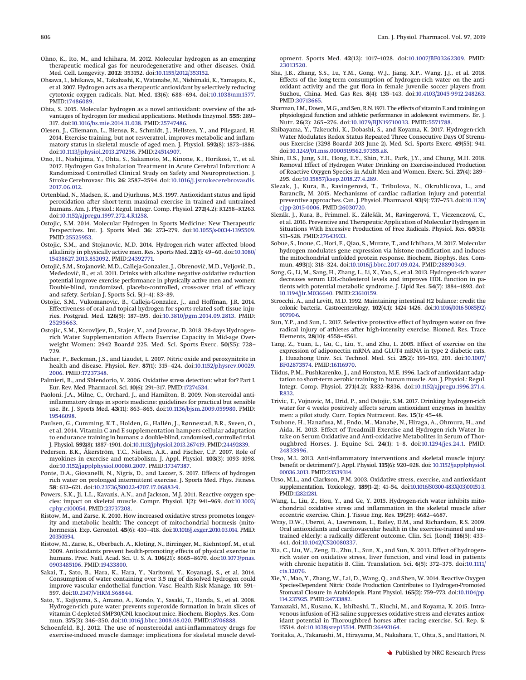- <span id="page-9-24"></span>Ohno, K., Ito, M., and Ichihara, M. 2012. Molecular hydrogen as an emerging therapeutic medical gas for neurodegenerative and other diseases. Oxid. Med. Cell. Longevity, **2012**: 353152. doi[:10.1155/2012/353152.](http://dx.doi.org/10.1155/2012/353152)
- <span id="page-9-0"></span>Ohsawa, I., Ishikawa, M., Takahashi, K., Watanabe, M., Nishimaki, K., Yamagata, K., et al. 2007. Hydrogen acts as a therapeutic antioxidant by selectively reducing cytotoxic oxygen radicals. Nat. Med. **13**(6): 688–694. doi[:10.1038/nm1577.](http://dx.doi.org/10.1038/nm1577) PMID[:17486089.](http://www.ncbi.nlm.nih.gov/pubmed/17486089)
- <span id="page-9-16"></span>Ohta, S. 2015. Molecular hydrogen as a novel antioxidant: overview of the advantages of hydrogen for medical applications. Methods Enzymol. **555**: 289– 317. doi[:10.1016/bs.mie.2014.11.038.](http://dx.doi.org/10.1016/bs.mie.2014.11.038) PMID[:25747486.](http://www.ncbi.nlm.nih.gov/pubmed/25747486)
- <span id="page-9-8"></span>Olesen, J., Gliemann, L., Biensø, R., Schmidt, J., Hellsten, Y., and Pilegaard, H. 2014. Exercise training, but not resveratrol, improves metabolic and inflammatory status in skeletal muscle of aged men. J. Physiol. **592**(8): 1873–1886. doi[:10.1113/jphysiol.2013.270256.](http://dx.doi.org/10.1113/jphysiol.2013.270256) PMID[:24514907.](http://www.ncbi.nlm.nih.gov/pubmed/24514907)
- <span id="page-9-30"></span>Ono, H., Nishijima, Y., Ohta, S., Sakamoto, M., Kinone, K., Horikosi, T., et al. 2017. Hydrogen Gas Inhalation Treatment in Acute Cerebral Infarction: A Randomized Controlled Clinical Study on Safety and Neuroprotection. J. Stroke Cerebrovasc. Dis. **26**: 2587–2594. doi[:10.1016/j.jstrokecerebrovasdis.](http://dx.doi.org/10.1016/j.jstrokecerebrovasdis.2017.06.012) [2017.06.012.](http://dx.doi.org/10.1016/j.jstrokecerebrovasdis.2017.06.012)
- <span id="page-9-34"></span>Ortenblad, N., Madsen, K., and Djurhuus, M.S. 1997. Antioxidant status and lipid peroxidation after short-term maximal exercise in trained and untrained humans. Am. J. Physiol.: Regul. Integr. Comp. Physiol. **272**(4.2): R1258–R1263. doi[:10.1152/ajpregu.1997.272.4.R1258.](http://dx.doi.org/10.1152/ajpregu.1997.272.4.R1258)
- <span id="page-9-19"></span>Ostojic, S.M. 2014. Molecular Hydrogen in Sports Medicine: New Therapeutic Perspectives. Int. J. Sports Med. **36**: 273–279. doi[:10.1055/s-0034-1395509.](http://dx.doi.org/10.1055/s-0034-1395509) PMID[:25525953.](http://www.ncbi.nlm.nih.gov/pubmed/25525953)
- <span id="page-9-39"></span>Ostojic, S.M., and Stojanovic, M.D. 2014. Hydrogen-rich water affected blood alkalinity in physically active men. Res. Sports Med. **22**(1): 49–60. doi[:10.1080/](http://dx.doi.org/10.1080/15438627.2013.852092) [15438627.2013.852092.](http://dx.doi.org/10.1080/15438627.2013.852092) PMID[:24392771.](http://www.ncbi.nlm.nih.gov/pubmed/24392771)
- <span id="page-9-29"></span>Ostojić, S.M., Stojanović, M.D., Calleja-Gonzalez, J., Obrenović, M.D., Veljović, D., Međedović, B., et al. 2011. Drinks with alkaline negative oxidative reduction potential improve exercise performance in physically active men and women: Double-blind, randomized, placebo-controlled, cross-over trial of efficacy and safety. Serbian J. Sports Sci. **5**(1–4): 83–89.
- <span id="page-9-22"></span>Ostojic, S.M., Vukomanovic, B., Calleja-Gonzalez, J., and Hoffman, J.R. 2014. Effectiveness of oral and topical hydrogen for sports-related soft tissue injuries. Postgrad. Med. **126**(5): 187–195. doi[:10.3810/pgm.2014.09.2813.](http://dx.doi.org/10.3810/pgm.2014.09.2813) PMID: [25295663.](http://www.ncbi.nlm.nih.gov/pubmed/25295663)
- <span id="page-9-23"></span>Ostojic, S.M., Korovljev, D., Stajer, V., and Javorac, D. 2018. 28-days Hydrogenrich Water Supplementation Affects Exercise Capacity in Mid-age Overweight Women: 2942 Board# 225. Med. Sci. Sports Exerc. **50**(S5): 728– 729.
- <span id="page-9-3"></span>Pacher, P., Beckman, J.S., and Liaudet, L. 2007. Nitric oxide and peroxynitrite in health and disease. Physiol. Rev. **87**(1): 315–424. doi[:10.1152/physrev.00029.](http://dx.doi.org/10.1152/physrev.00029.2006) [2006.](http://dx.doi.org/10.1152/physrev.00029.2006) PMID[:17237348.](http://www.ncbi.nlm.nih.gov/pubmed/17237348)
- <span id="page-9-2"></span>Palmieri, B., and Sblendorio, V. 2006. Oxidative stress detection: what for? Part I. Eur. Rev. Med. Pharmacol. Sci. **10**(6): 291–317. PMID[:17274534.](http://www.ncbi.nlm.nih.gov/pubmed/17274534)
- <span id="page-9-13"></span>Paoloni, J.A., Milne, C., Orchard, J., and Hamilton, B. 2009. Non-steroidal antiinflammatory drugs in sports medicine: guidelines for practical but sensible use. Br. J. Sports Med. **43**(11): 863–865. doi[:10.1136/bjsm.2009.059980.](http://dx.doi.org/10.1136/bjsm.2009.059980) PMID: [19546098.](http://www.ncbi.nlm.nih.gov/pubmed/19546098)
- <span id="page-9-9"></span>Paulsen, G., Cumming, K.T., Holden, G., Hallén, J., Rønnestad, B.R., Sveen, O., et al. 2014. Vitamin C and E supplementation hampers cellular adaptation to endurance training in humans: a double-blind, randomised, controlled trial. J. Physiol. **592**(8): 1887–1901. doi[:10.1113/jphysiol.2013.267419.](http://dx.doi.org/10.1113/jphysiol.2013.267419) PMID[:24492839.](http://www.ncbi.nlm.nih.gov/pubmed/24492839)
- <span id="page-9-12"></span>Pedersen, B.K., Åkerström, T.C., Nielsen, A.R., and Fischer, C.P. 2007. Role of myokines in exercise and metabolism. J. Appl. Physiol. **103**(3): 1093–1098. doi[:10.1152/japplphysiol.00080.2007.](http://dx.doi.org/10.1152/japplphysiol.00080.2007) PMID[:17347387.](http://www.ncbi.nlm.nih.gov/pubmed/17347387)
- <span id="page-9-40"></span>Ponte, D.A., Giovanelli, N., Nigris, D., and Lazzer, S. 2017. Effects of hydrogen rich water on prolonged intermittent exercise. J. Sports Med. Phys. Fitness. **58**: 612–621. doi[:10.23736/S0022-4707.17.06883-9.](http://dx.doi.org/10.23736/S0022-4707.17.06883-9)
- <span id="page-9-5"></span>Powers, S.K., Ji, L.L., Kavazis, A.N., and Jackson, M.J. 2011. Reactive oxygen species: impact on skeletal muscle. Compr. Physiol. **1**(2): 941–969. doi[:10.1002/](http://dx.doi.org/10.1002/cphy.c100054) [cphy.c100054.](http://dx.doi.org/10.1002/cphy.c100054) PMID[:23737208.](http://www.ncbi.nlm.nih.gov/pubmed/23737208)
- <span id="page-9-4"></span>Ristow, M., and Zarse, K. 2010. How increased oxidative stress promotes longevity and metabolic health: The concept of mitochondrial hormesis (mitohormesis). Exp. Gerontol. **45**(6): 410–418. doi[:10.1016/j.exger.2010.03.014.](http://dx.doi.org/10.1016/j.exger.2010.03.014) PMID: [20350594.](http://www.ncbi.nlm.nih.gov/pubmed/20350594)
- <span id="page-9-10"></span>Ristow, M., Zarse, K., Oberbach, A., Kloting, N., Birringer, M., Kiehntopf, M., et al. 2009. Antioxidants prevent health-promoting effects of physical exercise in humans. Proc. Natl. Acad. Sci. U. S. A. **106**(21): 8665–8670. doi[:10.1073/pnas.](http://dx.doi.org/10.1073/pnas.0903485106) [0903485106.](http://dx.doi.org/10.1073/pnas.0903485106) PMID[:19433800.](http://www.ncbi.nlm.nih.gov/pubmed/19433800)
- <span id="page-9-28"></span>Sakai, T., Sato, B., Hara, K., Hara, Y., Naritomi, Y., Koyanagi, S., et al. 2014. Consumption of water containing over 3.5 mg of dissolved hydrogen could improve vascular endothelial function. Vasc. Health Risk Manage. **10**: 591– 597. doi[:10.2147/VHRM.S68844.](http://dx.doi.org/10.2147/VHRM.S68844)
- <span id="page-9-44"></span>Sato, Y., Kajiyama, S., Amano, A., Kondo, Y., Sasaki, T., Handa, S., et al. 2008. Hydrogen-rich pure water prevents superoxide formation in brain slices of vitamin C-depleted SMP30/GNL knockout mice. Biochem. Biophys. Res. Commun. **375**(3): 346–350. doi[:10.1016/j.bbrc.2008.08.020.](http://dx.doi.org/10.1016/j.bbrc.2008.08.020) PMID[:18706888.](http://www.ncbi.nlm.nih.gov/pubmed/18706888)
- <span id="page-9-14"></span>Schoenfeld, B.J. 2012. The use of nonsteroidal anti-inflammatory drugs for exercise-induced muscle damage: implications for skeletal muscle devel-

opment. Sports Med. **42**(12): 1017–1028. doi[:10.1007/BF03262309.](http://dx.doi.org/10.1007/BF03262309) PMID: [23013520.](http://www.ncbi.nlm.nih.gov/pubmed/23013520)

- <span id="page-9-38"></span>Sha, J.B., Zhang, S.S., Lu, Y.M., Gong, W.J., Jiang, X.P., Wang, J.J., et al. 2018. Effects of the long-term consumption of hydrogen-rich water on the antioxidant activity and the gut flora in female juvenile soccer players from Suzhou, China. Med. Gas Res. **8**(4): 135–143. doi[:10.4103/2045-9912.248263.](http://dx.doi.org/10.4103/2045-9912.248263) PMID[:30713665.](http://www.ncbi.nlm.nih.gov/pubmed/30713665)
- <span id="page-9-7"></span>Sharman, I.M., Down, M.G., and Sen, R.N. 1971. The effects of vitamin E and training on physiological function and athletic performance in adolescent swimmers. Br. J. Nutr. **26**(2): 265–276. doi[:10.1079/BJN19710033.](http://dx.doi.org/10.1079/BJN19710033) PMID[:5571788.](http://www.ncbi.nlm.nih.gov/pubmed/5571788)
- <span id="page-9-42"></span>Shibayama, Y., Takeuchi, K., Dobashi, S., and Koyama, K. 2017. Hydrogen-rich Water Modulates Redox Status Repeated Three Consecutive Days Of Strenuous Exercise (3298 Board# 203 June 2). Med. Sci. Sports Exerc. **49**(S5): 941. doi[:10.1249/01.mss.0000519562.97355.a8.](http://dx.doi.org/10.1249/01.mss.0000519562.97355.a8)
- <span id="page-9-37"></span>Shin, D.S., Jung, S.H., Hong, E.Y., Shin, Y.H., Park, J.Y., and Chung, M.H. 2018. Removal Effect of Hydrogen Water Drinking on Exercise-induced Production of Reactive Oxygen Species in Adult Men and Women. Exerc. Sci. **27**(4): 289– 295. doi[:10.15857/ksep.2018.27.4.289.](http://dx.doi.org/10.15857/ksep.2018.27.4.289)
- <span id="page-9-18"></span>Slezak, J., Kura, B., Ravingerová, T., Tribulova, N., Okruhlicova, L., and Barancik, M. 2015. Mechanisms of cardiac radiation injury and potential preventive approaches. Can. J. Physiol. Pharmacol. **93**(9): 737–753. doi[:10.1139/](http://dx.doi.org/10.1139/cjpp-2015-0006) [cjpp-2015-0006.](http://dx.doi.org/10.1139/cjpp-2015-0006) PMID[:26030720.](http://www.ncbi.nlm.nih.gov/pubmed/26030720)
- <span id="page-9-17"></span>Slezák, J., Kura, B., Frimmel, K., Zálešák, M., Ravingerová, T., Viczenczová, C., et al. 2016. Preventive and Therapeutic Application of Molecular Hydrogen in Situations With Excessive Production of Free Radicals. Physiol. Res. **65**(S1): S11–S28. PMID[:27643933.](http://www.ncbi.nlm.nih.gov/pubmed/27643933)
- <span id="page-9-21"></span>Sobue, S., Inoue, C., Hori, F., Qiao, S., Murate, T., and Ichihara, M. 2017. Molecular hydrogen modulates gene expression via histone modification and induces the mitochondrial unfolded protein response. Biochem. Biophys. Res. Commun. **493**(1): 318–324. doi[:10.1016/j.bbrc.2017.09.024.](http://dx.doi.org/10.1016/j.bbrc.2017.09.024) PMID[:28890349.](http://www.ncbi.nlm.nih.gov/pubmed/28890349)
- <span id="page-9-25"></span>Song, G., Li, M., Sang, H., Zhang, L., Li, X., Yao, S., et al. 2013. Hydrogen-rich water decreases serum LDL-cholesterol levels and improves HDL function in patients with potential metabolic syndrome. J. Lipid Res. **54**(7): 1884–1893. doi: [10.1194/jlr.M036640.](http://dx.doi.org/10.1194/jlr.M036640) PMID[:23610159.](http://www.ncbi.nlm.nih.gov/pubmed/23610159)
- <span id="page-9-36"></span>Strocchi, A., and Levitt, M.D. 1992. Maintaining intestinal H2 balance: credit the colonic bacteria. Gastroenterology, **102**(4.1): 1424–1426. doi[:10.1016/0016-5085\(92\)](http://dx.doi.org/10.1016/0016-5085(92)90790-6) [90790-6.](http://dx.doi.org/10.1016/0016-5085(92)90790-6)
- <span id="page-9-41"></span>Sun, Y.P., and Sun, L. 2017. Selective protective effect of hydrogen water on free radical injury of athletes after high-intensity exercise. Biomed. Res. Trace Elements, **28**(10): 4558–4561.
- <span id="page-9-1"></span>Tang, Z., Yuan, L., Gu, C., Liu, Y., and Zhu, L. 2005. Effect of exercise on the expression of adiponectin mRNA and GLUT4 mRNA in type 2 diabetic rats. J. Huazhong Univ. Sci. Technol. Med. Sci. **25**(2): 191–193, 201. doi[:10.1007/](http://dx.doi.org/10.1007/BF02873574) [BF02873574.](http://dx.doi.org/10.1007/BF02873574) PMID[:16116970.](http://www.ncbi.nlm.nih.gov/pubmed/16116970)
- <span id="page-9-35"></span>Tiidus, P.M., Pushkarenko, J., and Houston, M.E. 1996. Lack of antioxidant adaptation to short-term aerobic training in human muscle. Am. J. Physiol.: Regul. Integr. Comp. Physiol. **271**(4.2): R832–R836. doi[:10.1152/ajpregu.1996.271.4.](http://dx.doi.org/10.1152/ajpregu.1996.271.4.R832) [R832.](http://dx.doi.org/10.1152/ajpregu.1996.271.4.R832)
- <span id="page-9-33"></span>Trivic, T., Vojnovic, M., Drid, P., and Ostojic, S.M. 2017. Drinking hydrogen-rich water for 4 weeks positively affects serum antioxidant enzymes in healthy men: a pilot study. Curr. Topics Nutraceut. Res. **15**(1): 45–48.
- <span id="page-9-31"></span>Tsubone, H., Hanafusa, M., Endo, M., Manabe, N., Hiraga, A., Ohmura, H., and Aida, H. 2013. Effect of Treadmill Exercise and Hydrogen-rich Water Intake on Serum Oxidative and Anti-oxidative Metabolites in Serum of Thoroughbred Horses. J. Equine Sci. **24**(1): 1–8. doi[:10.1294/jes.24.1.](http://dx.doi.org/10.1294/jes.24.1) PMID: [24833996.](http://www.ncbi.nlm.nih.gov/pubmed/24833996)
- <span id="page-9-15"></span>Urso, M.L. 2013. Anti-inflammatory interventions and skeletal muscle injury: benefit or detriment? J. Appl. Physiol. **115**(6): 920–928. doi: [10.1152/japplphysiol.](http://dx.doi.org/ 10.1152/japplphysiol.00036.2013) [00036.2013.](http://dx.doi.org/ 10.1152/japplphysiol.00036.2013) PMID[:23539314.](http://www.ncbi.nlm.nih.gov/pubmed/23539314)
- <span id="page-9-6"></span>Urso, M.L., and Clarkson, P.M. 2003. Oxidative stress, exercise, and antioxidant supplementation. Toxicology, **189**(1–2): 41–54. doi[:10.1016/S0300-483X\(03\)00151-3.](http://dx.doi.org/10.1016/S0300-483X(03)00151-3) PMID[:12821281.](http://www.ncbi.nlm.nih.gov/pubmed/12821281)
- <span id="page-9-43"></span>Wang, L., Liu, Z., Hou, Y., and Ge, Y. 2015. Hydrogen-rich water inhibits mitochondrial oxidative stress and inflammation in the skeletal muscle after eccentric exercise. Chin. J. Tissue Eng. Res. **19**(29): 4682–4687.
- <span id="page-9-11"></span>Wray, D.W., Uberoi, A., Lawrenson, L., Bailey, D.M., and Richardson, R.S. 2009. Oral antioxidants and cardiovascular health in the exercise-trained and untrained elderly: a radically different outcome. Clin. Sci. (Lond) **116**(5): 433– 441. doi[:10.1042/CS20080337.](http://dx.doi.org/10.1042/CS20080337)
- <span id="page-9-27"></span>Xia, C., Liu, W., Zeng, D., Zhu, L., Sun, X., and Sun, X. 2013. Effect of hydrogenrich water on oxidative stress, liver function, and viral load in patients with chronic hepatitis B. Clin. Translation. Sci. **6**(5): 372–375. doi[:10.1111/](http://dx.doi.org/10.1111/cts.12076) [cts.12076.](http://dx.doi.org/10.1111/cts.12076)
- <span id="page-9-20"></span>Xie, Y., Mao, Y., Zhang, W., Lai, D., Wang, Q., and Shen, W. 2014. Reactive Oxygen Species-Dependent Nitric Oxide Production Contributes to Hydrogen-Promoted Stomatal Closure in Arabidopsis. Plant Physiol. **165**(2): 759–773. doi[:10.1104/pp.](http://dx.doi.org/10.1104/pp.114.237925) [114.237925.](http://dx.doi.org/10.1104/pp.114.237925) PMID[:24733882.](http://www.ncbi.nlm.nih.gov/pubmed/24733882)
- <span id="page-9-32"></span>Yamazaki, M., Kusano, K., Ishibashi, T., Kiuchi, M., and Koyama, K. 2015. Intravenous infusion of H2-saline suppresses oxidative stress and elevates antioxidant potential in Thoroughbred horses after racing exercise. Sci. Rep. **5**: 15514. doi[:10.1038/srep15514.](http://dx.doi.org/10.1038/srep15514) PMID[:26493164.](http://www.ncbi.nlm.nih.gov/pubmed/26493164)
- <span id="page-9-26"></span>Yoritaka, A., Takanashi, M., Hirayama, M., Nakahara, T., Ohta, S., and Hattori, N.